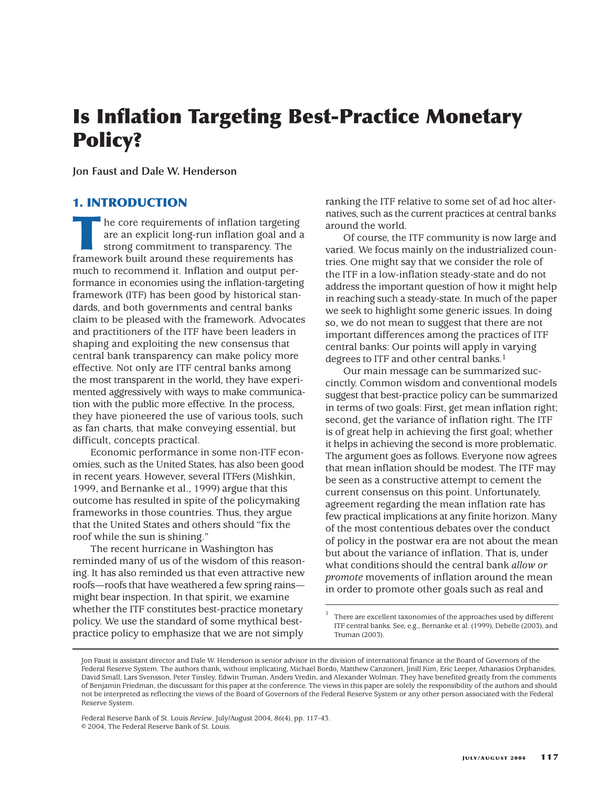# **Is Inflation Targeting Best-Practice Monetary Policy?**

**Jon Faust and Dale W. Henderson**

## **1. INTRODUCTION**

The core requirements of inflation targeting<br>are an explicit long-run inflation goal and<br>strong commitment to transparency. The<br>framework built around these requirements has are an explicit long-run inflation goal and a strong commitment to transparency. The framework built around these requirements has much to recommend it. Inflation and output performance in economies using the inflation-targeting framework (ITF) has been good by historical standards, and both governments and central banks claim to be pleased with the framework. Advocates and practitioners of the ITF have been leaders in shaping and exploiting the new consensus that central bank transparency can make policy more effective. Not only are ITF central banks among the most transparent in the world, they have experimented aggressively with ways to make communication with the public more effective. In the process, they have pioneered the use of various tools, such as fan charts, that make conveying essential, but difficult, concepts practical.

Economic performance in some non-ITF economies, such as the United States, has also been good in recent years. However, several ITFers (Mishkin, 1999, and Bernanke et al., 1999) argue that this outcome has resulted in spite of the policymaking frameworks in those countries. Thus, they argue that the United States and others should "fix the roof while the sun is shining."

The recent hurricane in Washington has reminded many of us of the wisdom of this reasoning. It has also reminded us that even attractive new roofs—roofs that have weathered a few spring rains might bear inspection. In that spirit, we examine whether the ITF constitutes best-practice monetary policy. We use the standard of some mythical bestpractice policy to emphasize that we are not simply

ranking the ITF relative to some set of ad hoc alternatives, such as the current practices at central banks around the world.

Of course, the ITF community is now large and varied. We focus mainly on the industrialized countries. One might say that we consider the role of the ITF in a low-inflation steady-state and do not address the important question of how it might help in reaching such a steady-state. In much of the paper we seek to highlight some generic issues. In doing so, we do not mean to suggest that there are not important differences among the practices of ITF central banks: Our points will apply in varying degrees to ITF and other central banks.<sup>1</sup>

Our main message can be summarized succinctly. Common wisdom and conventional models suggest that best-practice policy can be summarized in terms of two goals: First, get mean inflation right; second, get the variance of inflation right. The ITF is of great help in achieving the first goal; whether it helps in achieving the second is more problematic. The argument goes as follows. Everyone now agrees that mean inflation should be modest. The ITF may be seen as a constructive attempt to cement the current consensus on this point. Unfortunately, agreement regarding the mean inflation rate has few practical implications at any finite horizon. Many of the most contentious debates over the conduct of policy in the postwar era are not about the mean but about the variance of inflation. That is, under what conditions should the central bank *allow or promote* movements of inflation around the mean in order to promote other goals such as real and

<sup>1</sup> There are excellent taxonomies of the approaches used by different ITF central banks. See, e.g., Bernanke et al. (1999), Debelle (2003), and Truman (2003).

Federal Reserve Bank of St. Louis *Review*, July/August 2004, *86*(4), pp. 117-43. © 2004, The Federal Reserve Bank of St. Louis.

Jon Faust is assistant director and Dale W. Henderson is senior advisor in the division of international finance at the Board of Governors of the Federal Reserve System. The authors thank, without implicating, Michael Bordo, Matthew Canzoneri, Jinill Kim, Eric Leeper, Athanasios Orphanides, David Small, Lars Svensson, Peter Tinsley, Edwin Truman, Anders Vredin, and Alexander Wolman. They have benefited greatly from the comments of Benjamin Friedman, the discussant for this paper at the conference. The views in this paper are solely the responsibility of the authors and should not be interpreted as reflecting the views of the Board of Governors of the Federal Reserve System or any other person associated with the Federal Reserve System.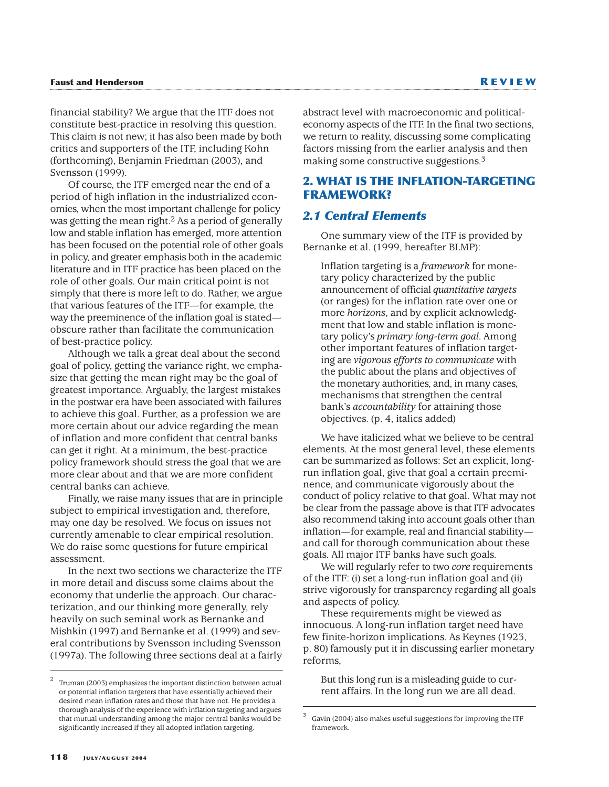financial stability? We argue that the ITF does not constitute best-practice in resolving this question. This claim is not new; it has also been made by both critics and supporters of the ITF, including Kohn (forthcoming), Benjamin Friedman (2003), and Svensson (1999).

Of course, the ITF emerged near the end of a period of high inflation in the industrialized economies, when the most important challenge for policy was getting the mean right.<sup>2</sup> As a period of generally low and stable inflation has emerged, more attention has been focused on the potential role of other goals in policy, and greater emphasis both in the academic literature and in ITF practice has been placed on the role of other goals. Our main critical point is not simply that there is more left to do. Rather, we argue that various features of the ITF—for example, the way the preeminence of the inflation goal is stated obscure rather than facilitate the communication of best-practice policy.

Although we talk a great deal about the second goal of policy, getting the variance right, we emphasize that getting the mean right may be the goal of greatest importance. Arguably, the largest mistakes in the postwar era have been associated with failures to achieve this goal. Further, as a profession we are more certain about our advice regarding the mean of inflation and more confident that central banks can get it right. At a minimum, the best-practice policy framework should stress the goal that we are more clear about and that we are more confident central banks can achieve.

Finally, we raise many issues that are in principle subject to empirical investigation and, therefore, may one day be resolved. We focus on issues not currently amenable to clear empirical resolution. We do raise some questions for future empirical assessment.

In the next two sections we characterize the ITF in more detail and discuss some claims about the economy that underlie the approach. Our characterization, and our thinking more generally, rely heavily on such seminal work as Bernanke and Mishkin (1997) and Bernanke et al. (1999) and several contributions by Svensson including Svensson (1997a). The following three sections deal at a fairly abstract level with macroeconomic and politicaleconomy aspects of the ITF. In the final two sections, we return to reality, discussing some complicating factors missing from the earlier analysis and then making some constructive suggestions.3

## **2. WHAT IS THE INFLATION-TARGETING FRAMEWORK?**

#### *2.1 Central Elements*

One summary view of the ITF is provided by Bernanke et al. (1999, hereafter BLMP):

Inflation targeting is a *framework* for monetary policy characterized by the public announcement of official *quantitative targets* (or ranges) for the inflation rate over one or more *horizons*, and by explicit acknowledgment that low and stable inflation is monetary policy's *primary long-term goal*. Among other important features of inflation targeting are *vigorous efforts to communicate* with the public about the plans and objectives of the monetary authorities, and, in many cases, mechanisms that strengthen the central bank's *accountability* for attaining those objectives. (p. 4, italics added)

We have italicized what we believe to be central elements. At the most general level, these elements can be summarized as follows: Set an explicit, longrun inflation goal, give that goal a certain preeminence, and communicate vigorously about the conduct of policy relative to that goal. What may not be clear from the passage above is that ITF advocates also recommend taking into account goals other than inflation—for example, real and financial stability and call for thorough communication about these goals. All major ITF banks have such goals.

We will regularly refer to two *core* requirements of the ITF: (i) set a long-run inflation goal and (ii) strive vigorously for transparency regarding all goals and aspects of policy.

These requirements might be viewed as innocuous. A long-run inflation target need have few finite-horizon implications. As Keynes (1923, p. 80) famously put it in discussing earlier monetary reforms,

But this long run is a misleading guide to current affairs. In the long run we are all dead.

<sup>2</sup> Truman (2003) emphasizes the important distinction between actual or potential inflation targeters that have essentially achieved their desired mean inflation rates and those that have not. He provides a thorough analysis of the experience with inflation targeting and argues that mutual understanding among the major central banks would be significantly increased if they all adopted inflation targeting.

Gavin (2004) also makes useful suggestions for improving the ITF framework.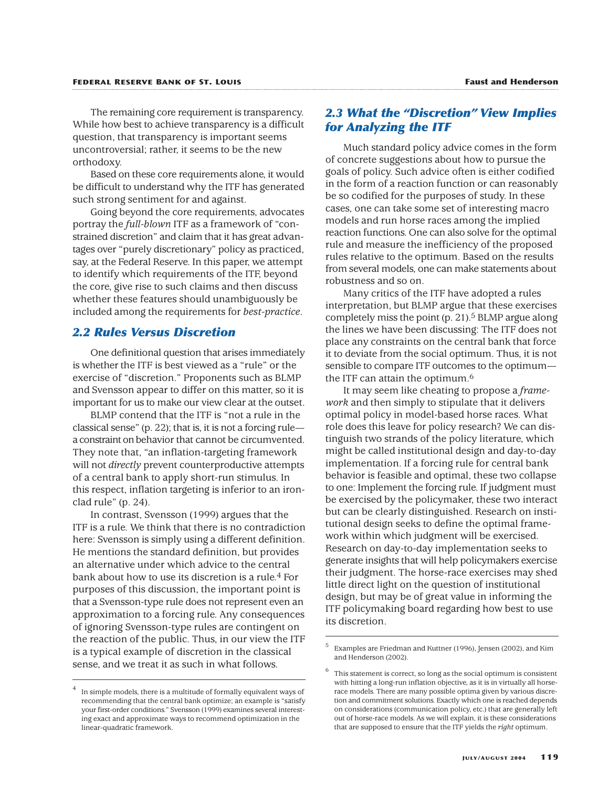The remaining core requirement is transparency. While how best to achieve transparency is a difficult question, that transparency is important seems uncontroversial; rather, it seems to be the new orthodoxy.

Based on these core requirements alone, it would be difficult to understand why the ITF has generated such strong sentiment for and against.

Going beyond the core requirements, advocates portray the *full-blown* ITF as a framework of "constrained discretion" and claim that it has great advantages over "purely discretionary" policy as practiced, say, at the Federal Reserve. In this paper, we attempt to identify which requirements of the ITF, beyond the core, give rise to such claims and then discuss whether these features should unambiguously be included among the requirements for *best-practice*.

## *2.2 Rules Versus Discretion*

One definitional question that arises immediately is whether the ITF is best viewed as a "rule" or the exercise of "discretion." Proponents such as BLMP and Svensson appear to differ on this matter, so it is important for us to make our view clear at the outset.

BLMP contend that the ITF is "not a rule in the classical sense" (p. 22); that is, it is not a forcing rule a constraint on behavior that cannot be circumvented. They note that, "an inflation-targeting framework will not *directly* prevent counterproductive attempts of a central bank to apply short-run stimulus. In this respect, inflation targeting is inferior to an ironclad rule" (p. 24).

In contrast, Svensson (1999) argues that the ITF is a rule. We think that there is no contradiction here: Svensson is simply using a different definition. He mentions the standard definition, but provides an alternative under which advice to the central bank about how to use its discretion is a rule.<sup>4</sup> For purposes of this discussion, the important point is that a Svensson-type rule does not represent even an approximation to a forcing rule. Any consequences of ignoring Svensson-type rules are contingent on the reaction of the public. Thus, in our view the ITF is a typical example of discretion in the classical sense, and we treat it as such in what follows.

## *2.3 What the "Discretion" View Implies for Analyzing the ITF*

Much standard policy advice comes in the form of concrete suggestions about how to pursue the goals of policy. Such advice often is either codified in the form of a reaction function or can reasonably be so codified for the purposes of study. In these cases, one can take some set of interesting macro models and run horse races among the implied reaction functions. One can also solve for the optimal rule and measure the inefficiency of the proposed rules relative to the optimum. Based on the results from several models, one can make statements about robustness and so on.

Many critics of the ITF have adopted a rules interpretation, but BLMP argue that these exercises completely miss the point  $(p. 21)$ .<sup>5</sup> BLMP argue along the lines we have been discussing: The ITF does not place any constraints on the central bank that force it to deviate from the social optimum. Thus, it is not sensible to compare ITF outcomes to the optimum the ITF can attain the optimum.6

It may seem like cheating to propose a *framework* and then simply to stipulate that it delivers optimal policy in model-based horse races. What role does this leave for policy research? We can distinguish two strands of the policy literature, which might be called institutional design and day-to-day implementation. If a forcing rule for central bank behavior is feasible and optimal, these two collapse to one: Implement the forcing rule. If judgment must be exercised by the policymaker, these two interact but can be clearly distinguished. Research on institutional design seeks to define the optimal framework within which judgment will be exercised. Research on day-to-day implementation seeks to generate insights that will help policymakers exercise their judgment. The horse-race exercises may shed little direct light on the question of institutional design, but may be of great value in informing the ITF policymaking board regarding how best to use its discretion.

In simple models, there is a multitude of formally equivalent ways of recommending that the central bank optimize; an example is "satisfy your first-order conditions." Svensson (1999) examines several interesting exact and approximate ways to recommend optimization in the linear-quadratic framework.

Examples are Friedman and Kuttner (1996), Jensen (2002), and Kim and Henderson (2002).

 $6$  This statement is correct, so long as the social optimum is consistent with hitting a long-run inflation objective, as it is in virtually all horserace models. There are many possible optima given by various discretion and commitment solutions. Exactly which one is reached depends on considerations (communication policy, etc.) that are generally left out of horse-race models. As we will explain, it is these considerations that are supposed to ensure that the ITF yields the *right* optimum.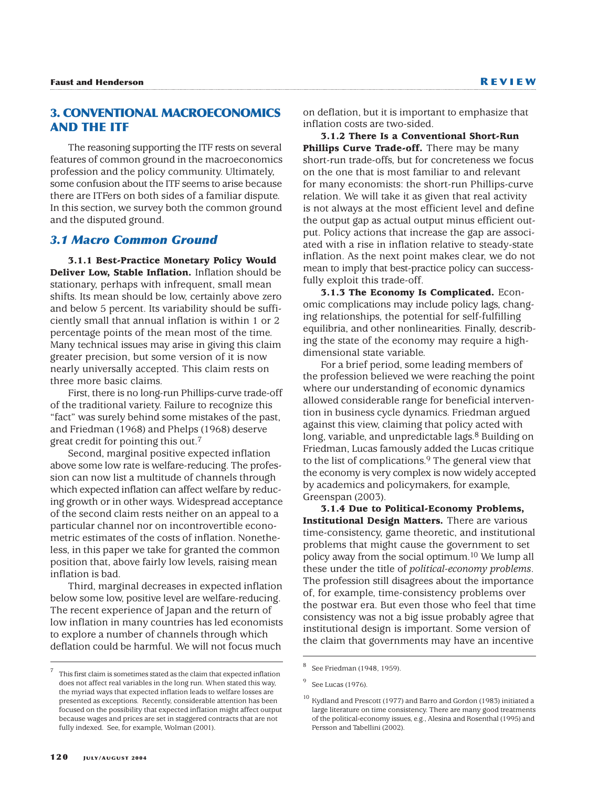## **3. CONVENTIONAL MACROECONOMICS AND THE ITF**

The reasoning supporting the ITF rests on several features of common ground in the macroeconomics profession and the policy community. Ultimately, some confusion about the ITF seems to arise because there are ITFers on both sides of a familiar dispute. In this section, we survey both the common ground and the disputed ground.

#### *3.1 Macro Common Ground*

**3.1.1 Best-Practice Monetary Policy Would Deliver Low, Stable Inflation.** Inflation should be stationary, perhaps with infrequent, small mean shifts. Its mean should be low, certainly above zero and below 5 percent. Its variability should be sufficiently small that annual inflation is within 1 or 2 percentage points of the mean most of the time. Many technical issues may arise in giving this claim greater precision, but some version of it is now nearly universally accepted. This claim rests on three more basic claims.

First, there is no long-run Phillips-curve trade-off of the traditional variety. Failure to recognize this "fact" was surely behind some mistakes of the past, and Friedman (1968) and Phelps (1968) deserve great credit for pointing this out.7

Second, marginal positive expected inflation above some low rate is welfare-reducing. The profession can now list a multitude of channels through which expected inflation can affect welfare by reducing growth or in other ways. Widespread acceptance of the second claim rests neither on an appeal to a particular channel nor on incontrovertible econometric estimates of the costs of inflation. Nonetheless, in this paper we take for granted the common position that, above fairly low levels, raising mean inflation is bad.

Third, marginal decreases in expected inflation below some low, positive level are welfare-reducing. The recent experience of Japan and the return of low inflation in many countries has led economists to explore a number of channels through which deflation could be harmful. We will not focus much

<sup>7</sup> This first claim is sometimes stated as the claim that expected inflation does not affect real variables in the long run. When stated this way, the myriad ways that expected inflation leads to welfare losses are presented as exceptions. Recently, considerable attention has been focused on the possibility that expected inflation might affect output because wages and prices are set in staggered contracts that are not fully indexed. See, for example, Wolman (2001).

on deflation, but it is important to emphasize that inflation costs are two-sided.

**3.1.2 There Is a Conventional Short-Run** Phillips Curve Trade-off. There may be many short-run trade-offs, but for concreteness we focus on the one that is most familiar to and relevant for many economists: the short-run Phillips-curve relation. We will take it as given that real activity is not always at the most efficient level and define the output gap as actual output minus efficient output. Policy actions that increase the gap are associated with a rise in inflation relative to steady-state inflation. As the next point makes clear, we do not mean to imply that best-practice policy can successfully exploit this trade-off.

**3.1.3 The Economy Is Complicated.** Economic complications may include policy lags, changing relationships, the potential for self-fulfilling equilibria, and other nonlinearities. Finally, describing the state of the economy may require a highdimensional state variable.

For a brief period, some leading members of the profession believed we were reaching the point where our understanding of economic dynamics allowed considerable range for beneficial intervention in business cycle dynamics. Friedman argued against this view, claiming that policy acted with long, variable, and unpredictable lags.<sup>8</sup> Building on Friedman, Lucas famously added the Lucas critique to the list of complications.<sup>9</sup> The general view that the economy is very complex is now widely accepted by academics and policymakers, for example, Greenspan (2003).

**3.1.4 Due to Political-Economy Problems, Institutional Design Matters.** There are various time-consistency, game theoretic, and institutional problems that might cause the government to set policy away from the social optimum.10 We lump all these under the title of *political-economy problems*. The profession still disagrees about the importance of, for example, time-consistency problems over the postwar era. But even those who feel that time consistency was not a big issue probably agree that institutional design is important. Some version of the claim that governments may have an incentive

See Friedman (1948, 1959).

<sup>&</sup>lt;sup>9</sup> See Lucas (1976).

<sup>10</sup> Kydland and Prescott (1977) and Barro and Gordon (1983) initiated a large literature on time consistency. There are many good treatments of the political-economy issues, e.g., Alesina and Rosenthal (1995) and Persson and Tabellini (2002).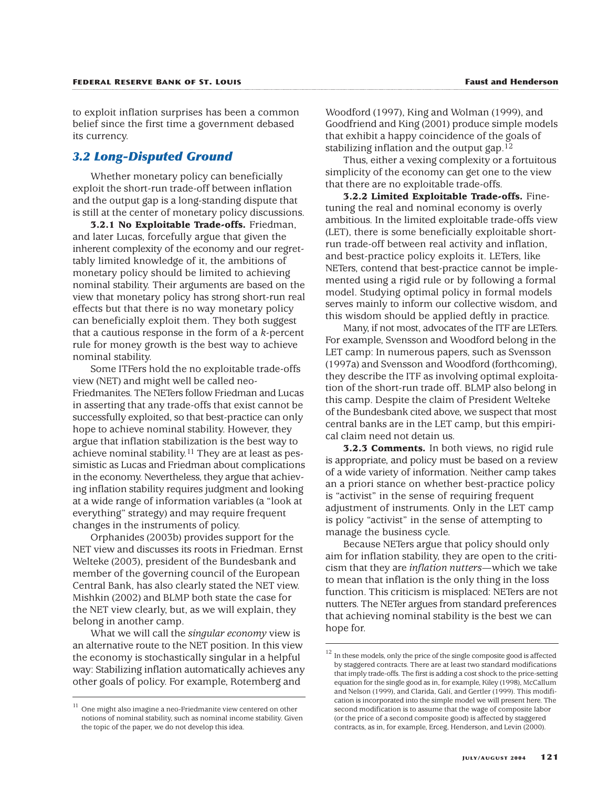to exploit inflation surprises has been a common belief since the first time a government debased its currency.

## *3.2 Long-Disputed Ground*

Whether monetary policy can beneficially exploit the short-run trade-off between inflation and the output gap is a long-standing dispute that is still at the center of monetary policy discussions.

**3.2.1 No Exploitable Trade-offs.** Friedman, and later Lucas, forcefully argue that given the inherent complexity of the economy and our regrettably limited knowledge of it, the ambitions of monetary policy should be limited to achieving nominal stability. Their arguments are based on the view that monetary policy has strong short-run real effects but that there is no way monetary policy can beneficially exploit them. They both suggest that a cautious response in the form of a *k*-percent rule for money growth is the best way to achieve nominal stability.

Some ITFers hold the no exploitable trade-offs view (NET) and might well be called neo-Friedmanites. The NETers follow Friedman and Lucas in asserting that any trade-offs that exist cannot be successfully exploited, so that best-practice can only hope to achieve nominal stability. However, they argue that inflation stabilization is the best way to achieve nominal stability.11 They are at least as pessimistic as Lucas and Friedman about complications in the economy. Nevertheless, they argue that achieving inflation stability requires judgment and looking at a wide range of information variables (a "look at everything" strategy) and may require frequent changes in the instruments of policy.

Orphanides (2003b) provides support for the NET view and discusses its roots in Friedman. Ernst Welteke (2003), president of the Bundesbank and member of the governing council of the European Central Bank, has also clearly stated the NET view. Mishkin (2002) and BLMP both state the case for the NET view clearly, but, as we will explain, they belong in another camp.

What we will call the *singular economy* view is an alternative route to the NET position. In this view the economy is stochastically singular in a helpful way: Stabilizing inflation automatically achieves any other goals of policy. For example, Rotemberg and

Woodford (1997), King and Wolman (1999), and Goodfriend and King (2001) produce simple models that exhibit a happy coincidence of the goals of stabilizing inflation and the output gap.12

Thus, either a vexing complexity or a fortuitous simplicity of the economy can get one to the view that there are no exploitable trade-offs.

**3.2.2 Limited Exploitable Trade-offs.** Finetuning the real and nominal economy is overly ambitious. In the limited exploitable trade-offs view (LET), there is some beneficially exploitable shortrun trade-off between real activity and inflation, and best-practice policy exploits it. LETers, like NETers, contend that best-practice cannot be implemented using a rigid rule or by following a formal model. Studying optimal policy in formal models serves mainly to inform our collective wisdom, and this wisdom should be applied deftly in practice.

Many, if not most, advocates of the ITF are LETers. For example, Svensson and Woodford belong in the LET camp: In numerous papers, such as Svensson (1997a) and Svensson and Woodford (forthcoming), they describe the ITF as involving optimal exploitation of the short-run trade off. BLMP also belong in this camp. Despite the claim of President Welteke of the Bundesbank cited above, we suspect that most central banks are in the LET camp, but this empirical claim need not detain us.

**3.2.3 Comments.** In both views, no rigid rule is appropriate, and policy must be based on a review of a wide variety of information. Neither camp takes an a priori stance on whether best-practice policy is "activist" in the sense of requiring frequent adjustment of instruments. Only in the LET camp is policy "activist" in the sense of attempting to manage the business cycle.

Because NETers argue that policy should only aim for inflation stability, they are open to the criticism that they are *inflation nutters*—which we take to mean that inflation is the only thing in the loss function. This criticism is misplaced: NETers are not nutters. The NETer argues from standard preferences that achieving nominal stability is the best we can hope for.

 $11$  One might also imagine a neo-Friedmanite view centered on other notions of nominal stability, such as nominal income stability. Given the topic of the paper, we do not develop this idea.

 $12$  In these models, only the price of the single composite good is affected by staggered contracts. There are at least two standard modifications that imply trade-offs. The first is adding a cost shock to the price-setting equation for the single good as in, for example, Kiley (1998), McCallum and Nelson (1999), and Clarida, Galí, and Gertler (1999). This modification is incorporated into the simple model we will present here. The second modification is to assume that the wage of composite labor (or the price of a second composite good) is affected by staggered contracts, as in, for example, Erceg, Henderson, and Levin (2000).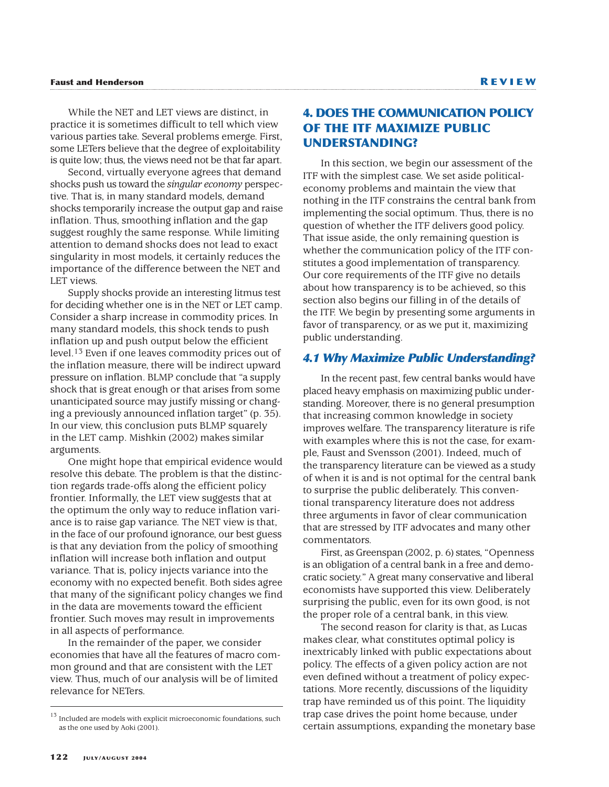While the NET and LET views are distinct, in practice it is sometimes difficult to tell which view various parties take. Several problems emerge. First, some LETers believe that the degree of exploitability is quite low; thus, the views need not be that far apart.

Second, virtually everyone agrees that demand shocks push us toward the *singular economy* perspective. That is, in many standard models, demand shocks temporarily increase the output gap and raise inflation. Thus, smoothing inflation and the gap suggest roughly the same response. While limiting attention to demand shocks does not lead to exact singularity in most models, it certainly reduces the importance of the difference between the NET and LET views.

Supply shocks provide an interesting litmus test for deciding whether one is in the NET or LET camp. Consider a sharp increase in commodity prices. In many standard models, this shock tends to push inflation up and push output below the efficient level.13 Even if one leaves commodity prices out of the inflation measure, there will be indirect upward pressure on inflation. BLMP conclude that "a supply shock that is great enough or that arises from some unanticipated source may justify missing or changing a previously announced inflation target" (p. 35). In our view, this conclusion puts BLMP squarely in the LET camp. Mishkin (2002) makes similar arguments.

One might hope that empirical evidence would resolve this debate. The problem is that the distinction regards trade-offs along the efficient policy frontier. Informally, the LET view suggests that at the optimum the only way to reduce inflation variance is to raise gap variance. The NET view is that, in the face of our profound ignorance, our best guess is that any deviation from the policy of smoothing inflation will increase both inflation and output variance. That is, policy injects variance into the economy with no expected benefit. Both sides agree that many of the significant policy changes we find in the data are movements toward the efficient frontier. Such moves may result in improvements in all aspects of performance.

In the remainder of the paper, we consider economies that have all the features of macro common ground and that are consistent with the LET view. Thus, much of our analysis will be of limited relevance for NETers.

## **4. DOES THE COMMUNICATION POLICY OF THE ITF MAXIMIZE PUBLIC UNDERSTANDING?**

In this section, we begin our assessment of the ITF with the simplest case. We set aside politicaleconomy problems and maintain the view that nothing in the ITF constrains the central bank from implementing the social optimum. Thus, there is no question of whether the ITF delivers good policy. That issue aside, the only remaining question is whether the communication policy of the ITF constitutes a good implementation of transparency. Our core requirements of the ITF give no details about how transparency is to be achieved, so this section also begins our filling in of the details of the ITF. We begin by presenting some arguments in favor of transparency, or as we put it, maximizing public understanding.

#### *4.1 Why Maximize Public Understanding?*

In the recent past, few central banks would have placed heavy emphasis on maximizing public understanding. Moreover, there is no general presumption that increasing common knowledge in society improves welfare. The transparency literature is rife with examples where this is not the case, for example, Faust and Svensson (2001). Indeed, much of the transparency literature can be viewed as a study of when it is and is not optimal for the central bank to surprise the public deliberately. This conventional transparency literature does not address three arguments in favor of clear communication that are stressed by ITF advocates and many other commentators.

First, as Greenspan (2002, p. 6) states, "Openness is an obligation of a central bank in a free and democratic society." A great many conservative and liberal economists have supported this view. Deliberately surprising the public, even for its own good, is not the proper role of a central bank, in this view.

The second reason for clarity is that, as Lucas makes clear, what constitutes optimal policy is inextricably linked with public expectations about policy. The effects of a given policy action are not even defined without a treatment of policy expectations. More recently, discussions of the liquidity trap have reminded us of this point. The liquidity trap case drives the point home because, under certain assumptions, expanding the monetary base

 $^{13}$  Included are models with explicit microeconomic foundations, such as the one used by Aoki (2001).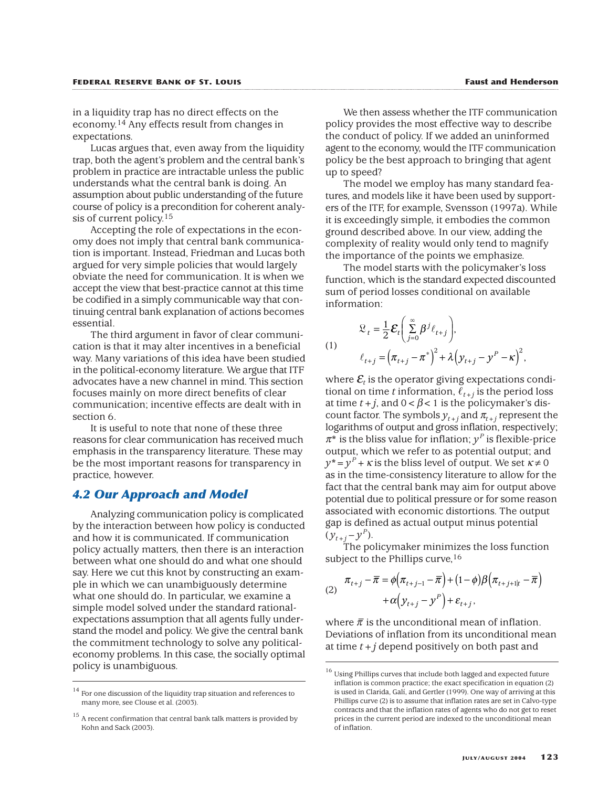in a liquidity trap has no direct effects on the economy.14 Any effects result from changes in expectations.

Lucas argues that, even away from the liquidity trap, both the agent's problem and the central bank's problem in practice are intractable unless the public understands what the central bank is doing. An assumption about public understanding of the future course of policy is a precondition for coherent analysis of current policy.<sup>15</sup>

Accepting the role of expectations in the economy does not imply that central bank communication is important. Instead, Friedman and Lucas both argued for very simple policies that would largely obviate the need for communication. It is when we accept the view that best-practice cannot at this time be codified in a simply communicable way that continuing central bank explanation of actions becomes essential.

The third argument in favor of clear communication is that it may alter incentives in a beneficial way. Many variations of this idea have been studied in the political-economy literature. We argue that ITF advocates have a new channel in mind. This section focuses mainly on more direct benefits of clear communication; incentive effects are dealt with in section 6.

It is useful to note that none of these three reasons for clear communication has received much emphasis in the transparency literature. These may be the most important reasons for transparency in practice, however.

#### *4.2 Our Approach and Model*

Analyzing communication policy is complicated by the interaction between how policy is conducted and how it is communicated. If communication policy actually matters, then there is an interaction between what one should do and what one should say. Here we cut this knot by constructing an example in which we can unambiguously determine what one should do. In particular, we examine a simple model solved under the standard rationalexpectations assumption that all agents fully understand the model and policy. We give the central bank the commitment technology to solve any politicaleconomy problems. In this case, the socially optimal policy is unambiguous.

We then assess whether the ITF communication policy provides the most effective way to describe the conduct of policy. If we added an uninformed agent to the economy, would the ITF communication policy be the best approach to bringing that agent up to speed?

The model we employ has many standard features, and models like it have been used by supporters of the ITF, for example, Svensson (1997a). While it is exceedingly simple, it embodies the common ground described above. In our view, adding the complexity of reality would only tend to magnify the importance of the points we emphasize.

The model starts with the policymaker's loss function, which is the standard expected discounted sum of period losses conditional on available information:

$$
(1)
$$

$$
\mathcal{L}_t = \frac{1}{2} \mathcal{E}_t \bigg( \sum_{j=0}^{\infty} \beta^j \ell_{t+j} \bigg),
$$
  

$$
\ell_{t+j} = \big( \pi_{t+j} - \pi^* \big)^2 + \lambda \big( y_{t+j} - y^P - \kappa \big)^2,
$$

where  $\mathcal{E}_t$  is the operator giving expectations conditional on time *t* information,  $\ell_{t+j}$  is the period loss at time  $t+j$ , and  $0 < \beta < 1$  is the policymaker's discount factor. The symbols  $y_{t+j}$  and  $\pi_{t+j}$  represent the logarithms of output and gross inflation, respectively;  $\pi^*$  is the bliss value for inflation;  $y^P$  is flexible-price output, which we refer to as potential output; and  $y^*$  =  $y^P$  +  $\kappa$  is the bliss level of output. We set  $\kappa \neq 0$ as in the time-consistency literature to allow for the fact that the central bank may aim for output above potential due to political pressure or for some reason associated with economic distortions. The output gap is defined as actual output minus potential  $(y_{t+j} - y^P)$ .

The policymaker minimizes the loss function subject to the Phillips curve, <sup>16</sup>

(2) 
$$
\pi_{t+j} - \overline{\pi} = \phi \left( \pi_{t+j-1} - \overline{\pi} \right) + (1 - \phi) \beta \left( \pi_{t+j+1|t} - \overline{\pi} \right) + \alpha \left( y_{t+j} - y^P \right) + \varepsilon_{t+j},
$$

where  $\bar{\pi}$  is the unconditional mean of inflation. Deviations of inflation from its unconditional mean at time *t*+*j* depend positively on both past and

 $14$  For one discussion of the liquidity trap situation and references to many more, see Clouse et al. (2003).

 $15$  A recent confirmation that central bank talk matters is provided by Kohn and Sack (2003).

 $^{16}$  Using Phillips curves that include both lagged and expected future inflation is common practice; the exact specification in equation (2) is used in Clarida, Galí, and Gertler (1999). One way of arriving at this Phillips curve (2) is to assume that inflation rates are set in Calvo-type contracts and that the inflation rates of agents who do not get to reset prices in the current period are indexed to the unconditional mean of inflation.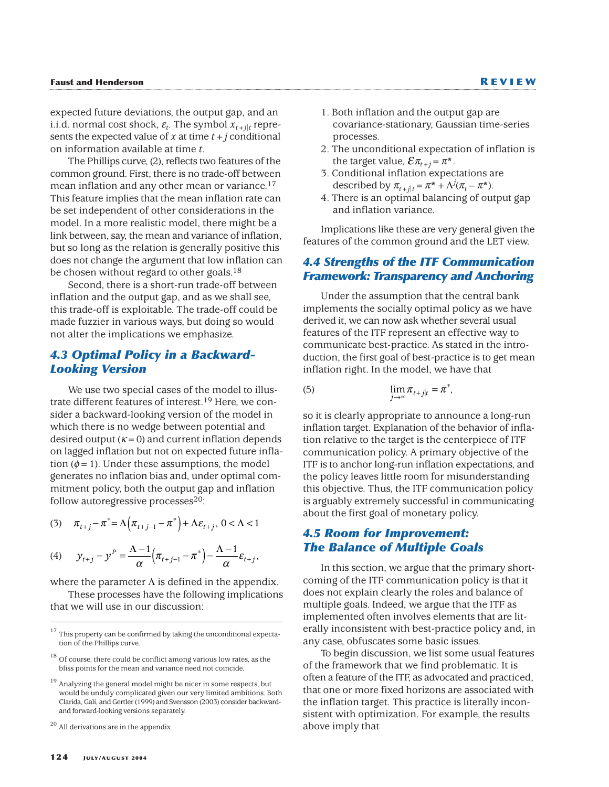expected future deviations, the output gap, and an i.i.d. normal cost shock,  $\varepsilon_t$ . The symbol  $x_{t+1|t}$  represents the expected value of  $x$  at time  $t + j$  conditional on information available at time *t*.

The Phillips curve, (2), reflects two features of the common ground. First, there is no trade-off between mean inflation and any other mean or variance.<sup>17</sup> This feature implies that the mean inflation rate can be set independent of other considerations in the model. In a more realistic model, there might be a link between, say, the mean and variance of inflation, but so long as the relation is generally positive this does not change the argument that low inflation can be chosen without regard to other goals.<sup>18</sup>

Second, there is a short-run trade-off between inflation and the output gap, and as we shall see, this trade-off is exploitable. The trade-off could be made fuzzier in various ways, but doing so would not alter the implications we emphasize.

## *4.3 Optimal Policy in a Backward-Looking Version*

We use two special cases of the model to illustrate different features of interest.19 Here, we consider a backward-looking version of the model in which there is no wedge between potential and desired output  $(K=0)$  and current inflation depends on lagged inflation but not on expected future inflation ( $\phi$  = 1). Under these assumptions, the model generates no inflation bias and, under optimal commitment policy, both the output gap and inflation follow autoregressive processes $20$ :

(3) 
$$
\pi_{t+j} - \pi^* = \Lambda \Big( \pi_{t+j-1} - \pi^* \Big) + \Lambda \varepsilon_{t+j}, 0 < \Lambda < 1
$$

(4) 
$$
y_{t+j} - y^P = \frac{\Lambda - 1}{\alpha} \left( \pi_{t+j-1} - \pi^* \right) - \frac{\Lambda - 1}{\alpha} \varepsilon_{t+j},
$$

where the parameter  $\Lambda$  is defined in the appendix. These processes have the following implications that we will use in our discussion:

<sup>20</sup> All derivations are in the appendix.

- 1. Both inflation and the output gap are covariance-stationary, Gaussian time-series processes.
- 2. The unconditional expectation of inflation is the target value,  $\mathcal{E} \pi_{t+j}$  =  $\pi^*$  .
- 3. Conditional inflation expectations are described by  $\pi_{t+j|t} = \pi^* + \Lambda^j(\pi_t - \pi^*)$ .
- 4. There is an optimal balancing of output gap and inflation variance.

Implications like these are very general given the features of the common ground and the LET view.

## *4.4 Strengths of the ITF Communication Framework: Transparency and Anchoring*

Under the assumption that the central bank implements the socially optimal policy as we have derived it, we can now ask whether several usual features of the ITF represent an effective way to communicate best-practice. As stated in the introduction, the first goal of best-practice is to get mean inflation right. In the model, we have that

(5) 
$$
\lim_{j \to \infty} \pi_{t+j|t} = \pi^*,
$$

so it is clearly appropriate to announce a long-run inflation target. Explanation of the behavior of inflation relative to the target is the centerpiece of ITF communication policy. A primary objective of the ITF is to anchor long-run inflation expectations, and the policy leaves little room for misunderstanding this objective. Thus, the ITF communication policy is arguably extremely successful in communicating about the first goal of monetary policy.

## *4.5 Room for Improvement: The Balance of Multiple Goals*

In this section, we argue that the primary shortcoming of the ITF communication policy is that it does not explain clearly the roles and balance of multiple goals. Indeed, we argue that the ITF as implemented often involves elements that are literally inconsistent with best-practice policy and, in any case, obfuscates some basic issues.

To begin discussion, we list some usual features of the framework that we find problematic. It is often a feature of the ITF, as advocated and practiced, that one or more fixed horizons are associated with the inflation target. This practice is literally inconsistent with optimization. For example, the results above imply that

 $17$  This property can be confirmed by taking the unconditional expectation of the Phillips curve.

<sup>&</sup>lt;sup>18</sup> Of course, there could be conflict among various low rates, as the bliss points for the mean and variance need not coincide.

Analyzing the general model might be nicer in some respects, but would be unduly complicated given our very limited ambitions. Both Clarida, Galí, and Gertler (1999) and Svensson (2003) consider backwardand forward-looking versions separately.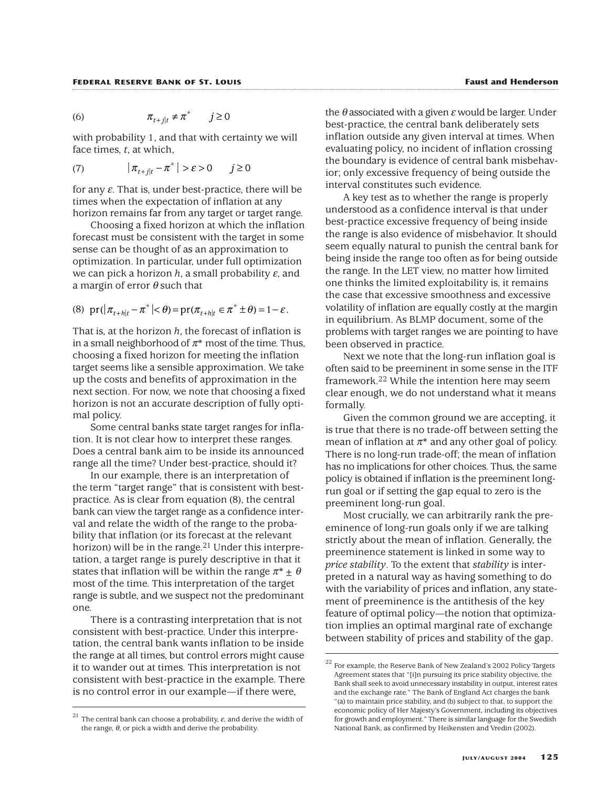$$
(6) \t\t \pi_{t+j|t} \neq \pi^* \t j \ge 0
$$

with probability 1, and that with certainty we will face times, *t*, at which,

$$
(7) \qquad |\pi_{t+j|t} - \pi^*| > \varepsilon > 0 \qquad j \ge 0
$$

for any  $\varepsilon$ . That is, under best-practice, there will be times when the expectation of inflation at any horizon remains far from any target or target range.

Choosing a fixed horizon at which the inflation forecast must be consistent with the target in some sense can be thought of as an approximation to optimization. In particular, under full optimization we can pick a horizon  $h$ , a small probability  $\varepsilon$ , and a margin of error  $\theta$  such that

(8) 
$$
\text{pr}(|\pi_{t+h|t} - \pi^*| < \theta) = \text{pr}(\pi_{t+h|t} \in \pi^* \pm \theta) = 1 - \varepsilon.
$$

That is, at the horizon *h*, the forecast of inflation is in a small neighborhood of  $\pi^*$  most of the time. Thus, choosing a fixed horizon for meeting the inflation target seems like a sensible approximation. We take up the costs and benefits of approximation in the next section. For now, we note that choosing a fixed horizon is not an accurate description of fully optimal policy.

Some central banks state target ranges for inflation. It is not clear how to interpret these ranges. Does a central bank aim to be inside its announced range all the time? Under best-practice, should it?

In our example, there is an interpretation of the term "target range" that is consistent with bestpractice. As is clear from equation (8), the central bank can view the target range as a confidence interval and relate the width of the range to the probability that inflation (or its forecast at the relevant horizon) will be in the range.<sup>21</sup> Under this interpretation, a target range is purely descriptive in that it states that inflation will be within the range  $\pi^* + \theta$ most of the time. This interpretation of the target range is subtle, and we suspect not the predominant one.

There is a contrasting interpretation that is not consistent with best-practice. Under this interpretation, the central bank wants inflation to be inside the range at all times, but control errors might cause it to wander out at times. This interpretation is not consistent with best-practice in the example. There is no control error in our example—if there were,

 $\theta$  associated with a given  $\varepsilon$  would be larger. Under best-practice, the central bank deliberately sets inflation outside any given interval at times. When evaluating policy, no incident of inflation crossing the boundary is evidence of central bank misbehavior; only excessive frequency of being outside the interval constitutes such evidence.

A key test as to whether the range is properly understood as a confidence interval is that under best-practice excessive frequency of being inside the range is also evidence of misbehavior. It should seem equally natural to punish the central bank for being inside the range too often as for being outside the range. In the LET view, no matter how limited one thinks the limited exploitability is, it remains the case that excessive smoothness and excessive volatility of inflation are equally costly at the margin in equilibrium. As BLMP document, some of the problems with target ranges we are pointing to have been observed in practice.

Next we note that the long-run inflation goal is often said to be preeminent in some sense in the ITF framework.22 While the intention here may seem clear enough, we do not understand what it means formally.

Given the common ground we are accepting, it is true that there is no trade-off between setting the mean of inflation at  $\pi^*$  and any other goal of policy. There is no long-run trade-off; the mean of inflation has no implications for other choices. Thus, the same policy is obtained if inflation is the preeminent longrun goal or if setting the gap equal to zero is the preeminent long-run goal.

Most crucially, we can arbitrarily rank the preeminence of long-run goals only if we are talking strictly about the mean of inflation. Generally, the preeminence statement is linked in some way to *price stability*. To the extent that *stability* is interpreted in a natural way as having something to do with the variability of prices and inflation, any statement of preeminence is the antithesis of the key feature of optimal policy—the notion that optimization implies an optimal marginal rate of exchange between stability of prices and stability of the gap.

<sup>&</sup>lt;sup>21</sup> The central bank can choose a probability,  $\varepsilon$ , and derive the width of the range,  $\theta$ , or pick a width and derive the probability.

 $^{22}$  For example, the Reserve Bank of New Zealand's 2002 Policy Targets Agreement states that "[i]n pursuing its price stability objective, the Bank shall seek to avoid unnecessary instability in output, interest rates and the exchange rate." The Bank of England Act charges the bank "(a) to maintain price stability, and (b) subject to that, to support the economic policy of Her Majesty's Government, including its objectives for growth and employment." There is similar language for the Swedish National Bank, as confirmed by Heikensten and Vredin (2002).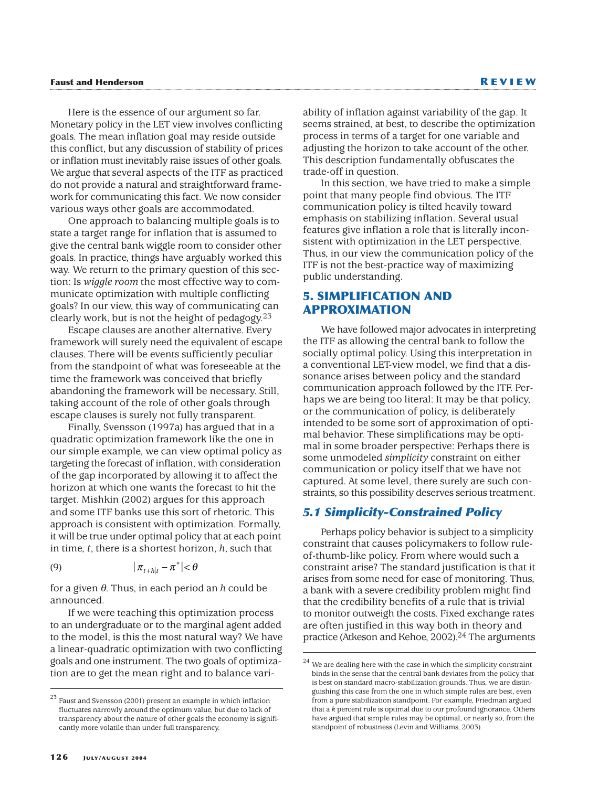Here is the essence of our argument so far. Monetary policy in the LET view involves conflicting goals. The mean inflation goal may reside outside this conflict, but any discussion of stability of prices or inflation must inevitably raise issues of other goals. We argue that several aspects of the ITF as practiced do not provide a natural and straightforward framework for communicating this fact. We now consider various ways other goals are accommodated.

One approach to balancing multiple goals is to state a target range for inflation that is assumed to give the central bank wiggle room to consider other goals. In practice, things have arguably worked this way. We return to the primary question of this section: Is *wiggle room* the most effective way to communicate optimization with multiple conflicting goals? In our view, this way of communicating can clearly work, but is not the height of pedagogy. $2<sup>3</sup>$ 

Escape clauses are another alternative. Every framework will surely need the equivalent of escape clauses. There will be events sufficiently peculiar from the standpoint of what was foreseeable at the time the framework was conceived that briefly abandoning the framework will be necessary. Still, taking account of the role of other goals through escape clauses is surely not fully transparent.

Finally, Svensson (1997a) has argued that in a quadratic optimization framework like the one in our simple example, we can view optimal policy as targeting the forecast of inflation, with consideration of the gap incorporated by allowing it to affect the horizon at which one wants the forecast to hit the target. Mishkin (2002) argues for this approach and some ITF banks use this sort of rhetoric. This approach is consistent with optimization. Formally, it will be true under optimal policy that at each point in time, *t*, there is a shortest horizon, *h*, such that

$$
(9) \t\t\t |\pi_{t+h|t} - \pi^*| < \theta
$$

for a given θ. Thus, in each period an *h* could be announced.

If we were teaching this optimization process to an undergraduate or to the marginal agent added to the model, is this the most natural way? We have a linear-quadratic optimization with two conflicting goals and one instrument. The two goals of optimization are to get the mean right and to balance variability of inflation against variability of the gap. It seems strained, at best, to describe the optimization process in terms of a target for one variable and adjusting the horizon to take account of the other. This description fundamentally obfuscates the trade-off in question.

In this section, we have tried to make a simple point that many people find obvious. The ITF communication policy is tilted heavily toward emphasis on stabilizing inflation. Several usual features give inflation a role that is literally inconsistent with optimization in the LET perspective. Thus, in our view the communication policy of the ITF is not the best-practice way of maximizing public understanding.

## **5. SIMPLIFICATION AND APPROXIMATION**

We have followed major advocates in interpreting the ITF as allowing the central bank to follow the socially optimal policy. Using this interpretation in a conventional LET-view model, we find that a dissonance arises between policy and the standard communication approach followed by the ITF. Perhaps we are being too literal: It may be that policy, or the communication of policy, is deliberately intended to be some sort of approximation of optimal behavior. These simplifications may be optimal in some broader perspective: Perhaps there is some unmodeled *simplicity* constraint on either communication or policy itself that we have not captured. At some level, there surely are such constraints, so this possibility deserves serious treatment.

## *5.1 Simplicity-Constrained Policy*

Perhaps policy behavior is subject to a simplicity constraint that causes policymakers to follow ruleof-thumb-like policy. From where would such a constraint arise? The standard justification is that it arises from some need for ease of monitoring. Thus, a bank with a severe credibility problem might find that the credibility benefits of a rule that is trivial to monitor outweigh the costs. Fixed exchange rates are often justified in this way both in theory and practice (Atkeson and Kehoe, 2002).<sup>24</sup> The arguments

 $^{23}$  Faust and Svensson (2001) present an example in which inflation fluctuates narrowly around the optimum value, but due to lack of transparency about the nature of other goals the economy is significantly more volatile than under full transparency.

 $24$  We are dealing here with the case in which the simplicity constraint binds in the sense that the central bank deviates from the policy that is best on standard macro-stabilization grounds. Thus, we are distinguishing this case from the one in which simple rules are best, even from a pure stabilization standpoint. For example, Friedman argued that a *k* percent rule is optimal due to our profound ignorance. Others have argued that simple rules may be optimal, or nearly so, from the standpoint of robustness (Levin and Williams, 2003).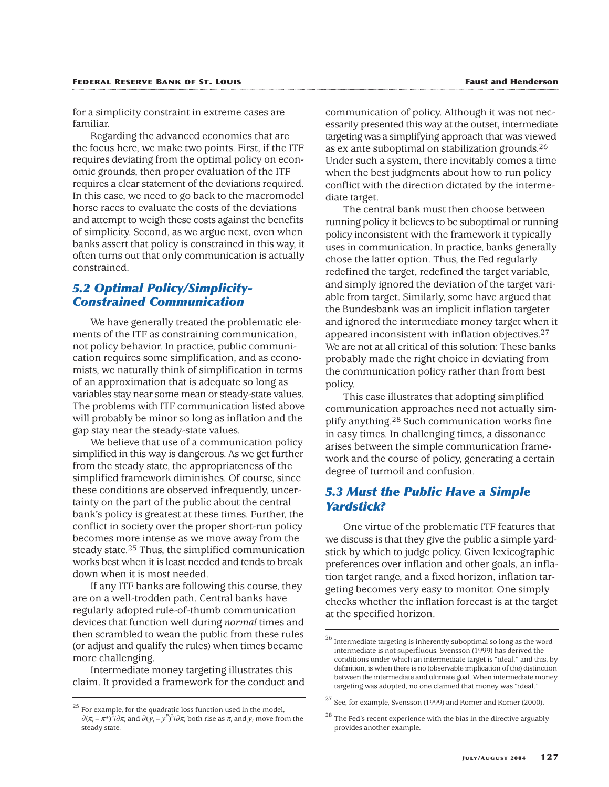for a simplicity constraint in extreme cases are familiar.

Regarding the advanced economies that are the focus here, we make two points. First, if the ITF requires deviating from the optimal policy on economic grounds, then proper evaluation of the ITF requires a clear statement of the deviations required. In this case, we need to go back to the macromodel horse races to evaluate the costs of the deviations and attempt to weigh these costs against the benefits of simplicity. Second, as we argue next, even when banks assert that policy is constrained in this way, it often turns out that only communication is actually constrained.

## *5.2 Optimal Policy/Simplicity-Constrained Communication*

We have generally treated the problematic elements of the ITF as constraining communication, not policy behavior. In practice, public communication requires some simplification, and as economists, we naturally think of simplification in terms of an approximation that is adequate so long as variables stay near some mean or steady-state values. The problems with ITF communication listed above will probably be minor so long as inflation and the gap stay near the steady-state values.

We believe that use of a communication policy simplified in this way is dangerous. As we get further from the steady state, the appropriateness of the simplified framework diminishes. Of course, since these conditions are observed infrequently, uncertainty on the part of the public about the central bank's policy is greatest at these times. Further, the conflict in society over the proper short-run policy becomes more intense as we move away from the steady state.25 Thus, the simplified communication works best when it is least needed and tends to break down when it is most needed.

If any ITF banks are following this course, they are on a well-trodden path. Central banks have regularly adopted rule-of-thumb communication devices that function well during *normal* times and then scrambled to wean the public from these rules (or adjust and qualify the rules) when times became more challenging.

Intermediate money targeting illustrates this claim. It provided a framework for the conduct and communication of policy. Although it was not necessarily presented this way at the outset, intermediate targeting was a simplifying approach that was viewed as ex ante suboptimal on stabilization grounds.26 Under such a system, there inevitably comes a time when the best judgments about how to run policy conflict with the direction dictated by the intermediate target.

The central bank must then choose between running policy it believes to be suboptimal or running policy inconsistent with the framework it typically uses in communication. In practice, banks generally chose the latter option. Thus, the Fed regularly redefined the target, redefined the target variable, and simply ignored the deviation of the target variable from target. Similarly, some have argued that the Bundesbank was an implicit inflation targeter and ignored the intermediate money target when it appeared inconsistent with inflation objectives.27 We are not at all critical of this solution: These banks probably made the right choice in deviating from the communication policy rather than from best policy.

This case illustrates that adopting simplified communication approaches need not actually simplify anything.28 Such communication works fine in easy times. In challenging times, a dissonance arises between the simple communication framework and the course of policy, generating a certain degree of turmoil and confusion.

## *5.3 Must the Public Have a Simple Yardstick?*

One virtue of the problematic ITF features that we discuss is that they give the public a simple yardstick by which to judge policy. Given lexicographic preferences over inflation and other goals, an inflation target range, and a fixed horizon, inflation targeting becomes very easy to monitor. One simply checks whether the inflation forecast is at the target at the specified horizon.

 $25$  For example, for the quadratic loss function used in the model,  $\partial (\pi_t - \pi^*)^2/\partial \pi_t$  and  $\partial (\gamma_t - y^P)^2/\partial \pi_t$  both rise as  $\pi_t$  and  $\gamma_t$  move from the steady state.

 $^{26}$  Intermediate targeting is inherently suboptimal so long as the word intermediate is not superfluous. Svensson (1999) has derived the conditions under which an intermediate target is "ideal," and this, by definition, is when there is no (observable implication of the) distinction between the intermediate and ultimate goal. When intermediate money targeting was adopted, no one claimed that money was "ideal."

 $27$  See, for example, Svensson (1999) and Romer and Romer (2000).

 $28$  The Fed's recent experience with the bias in the directive arguably provides another example.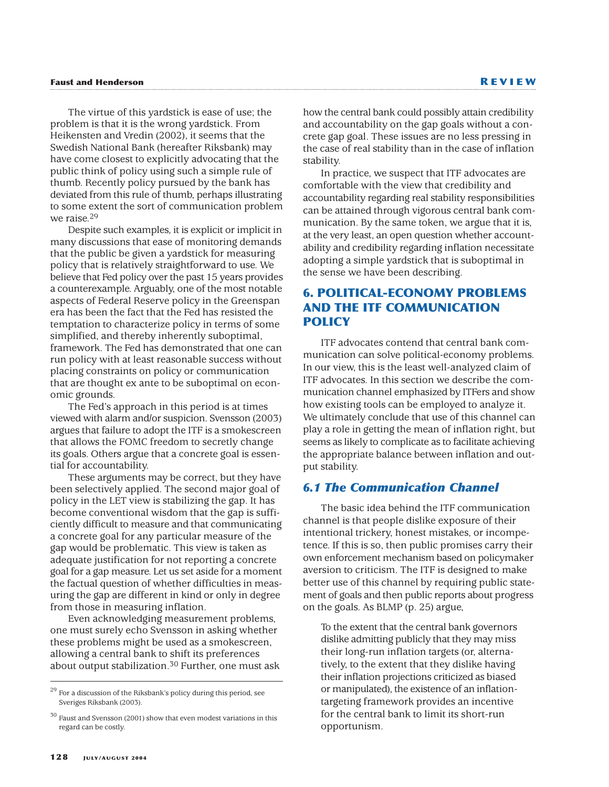The virtue of this yardstick is ease of use; the problem is that it is the wrong yardstick. From Heikensten and Vredin (2002), it seems that the Swedish National Bank (hereafter Riksbank) may have come closest to explicitly advocating that the public think of policy using such a simple rule of thumb. Recently policy pursued by the bank has deviated from this rule of thumb, perhaps illustrating to some extent the sort of communication problem we raise.29

Despite such examples, it is explicit or implicit in many discussions that ease of monitoring demands that the public be given a yardstick for measuring policy that is relatively straightforward to use. We believe that Fed policy over the past 15 years provides a counterexample. Arguably, one of the most notable aspects of Federal Reserve policy in the Greenspan era has been the fact that the Fed has resisted the temptation to characterize policy in terms of some simplified, and thereby inherently suboptimal, framework. The Fed has demonstrated that one can run policy with at least reasonable success without placing constraints on policy or communication that are thought ex ante to be suboptimal on economic grounds.

The Fed's approach in this period is at times viewed with alarm and/or suspicion. Svensson (2003) argues that failure to adopt the ITF is a smokescreen that allows the FOMC freedom to secretly change its goals. Others argue that a concrete goal is essential for accountability.

These arguments may be correct, but they have been selectively applied. The second major goal of policy in the LET view is stabilizing the gap. It has become conventional wisdom that the gap is sufficiently difficult to measure and that communicating a concrete goal for any particular measure of the gap would be problematic. This view is taken as adequate justification for not reporting a concrete goal for a gap measure. Let us set aside for a moment the factual question of whether difficulties in measuring the gap are different in kind or only in degree from those in measuring inflation.

Even acknowledging measurement problems, one must surely echo Svensson in asking whether these problems might be used as a smokescreen, allowing a central bank to shift its preferences about output stabilization.30 Further, one must ask how the central bank could possibly attain credibility and accountability on the gap goals without a concrete gap goal. These issues are no less pressing in the case of real stability than in the case of inflation stability.

In practice, we suspect that ITF advocates are comfortable with the view that credibility and accountability regarding real stability responsibilities can be attained through vigorous central bank communication. By the same token, we argue that it is, at the very least, an open question whether accountability and credibility regarding inflation necessitate adopting a simple yardstick that is suboptimal in the sense we have been describing.

# **6. POLITICAL-ECONOMY PROBLEMS AND THE ITF COMMUNICATION POLICY**

ITF advocates contend that central bank communication can solve political-economy problems. In our view, this is the least well-analyzed claim of ITF advocates. In this section we describe the communication channel emphasized by ITFers and show how existing tools can be employed to analyze it. We ultimately conclude that use of this channel can play a role in getting the mean of inflation right, but seems as likely to complicate as to facilitate achieving the appropriate balance between inflation and output stability.

# *6.1 The Communication Channel*

The basic idea behind the ITF communication channel is that people dislike exposure of their intentional trickery, honest mistakes, or incompetence. If this is so, then public promises carry their own enforcement mechanism based on policymaker aversion to criticism. The ITF is designed to make better use of this channel by requiring public statement of goals and then public reports about progress on the goals. As BLMP (p. 25) argue,

To the extent that the central bank governors dislike admitting publicly that they may miss their long-run inflation targets (or, alternatively, to the extent that they dislike having their inflation projections criticized as biased or manipulated), the existence of an inflationtargeting framework provides an incentive for the central bank to limit its short-run opportunism.

For a discussion of the Riksbank's policy during this period, see Sveriges Riksbank (2003).

 $30$  Faust and Svensson (2001) show that even modest variations in this regard can be costly.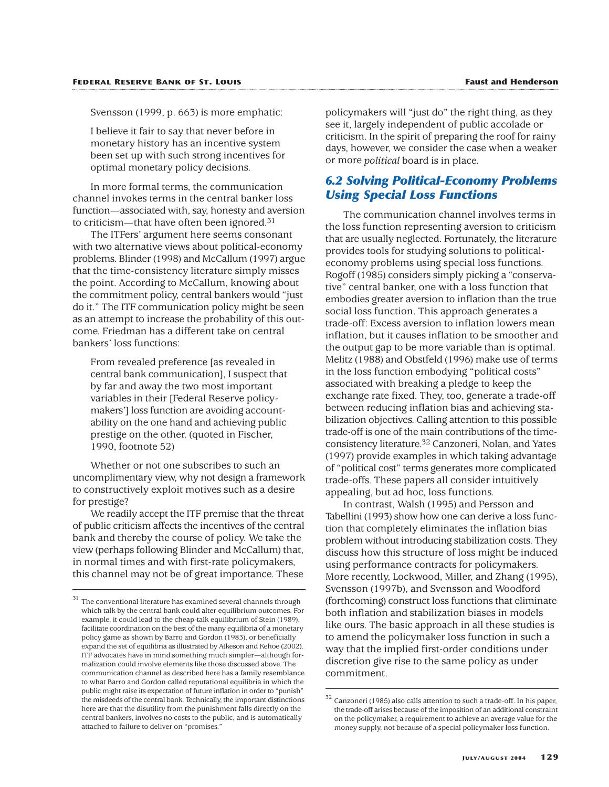Svensson (1999, p. 663) is more emphatic:

I believe it fair to say that never before in monetary history has an incentive system been set up with such strong incentives for optimal monetary policy decisions.

In more formal terms, the communication channel invokes terms in the central banker loss function—associated with, say, honesty and aversion to criticism—that have often been ignored.<sup>31</sup>

The ITFers' argument here seems consonant with two alternative views about political-economy problems. Blinder (1998) and McCallum (1997) argue that the time-consistency literature simply misses the point. According to McCallum, knowing about the commitment policy, central bankers would "just do it." The ITF communication policy might be seen as an attempt to increase the probability of this outcome. Friedman has a different take on central bankers' loss functions:

From revealed preference [as revealed in central bank communication], I suspect that by far and away the two most important variables in their [Federal Reserve policymakers'] loss function are avoiding accountability on the one hand and achieving public prestige on the other. (quoted in Fischer, 1990, footnote 52)

Whether or not one subscribes to such an uncomplimentary view, why not design a framework to constructively exploit motives such as a desire for prestige?

We readily accept the ITF premise that the threat of public criticism affects the incentives of the central bank and thereby the course of policy. We take the view (perhaps following Blinder and McCallum) that, in normal times and with first-rate policymakers, this channel may not be of great importance. These

policymakers will "just do" the right thing, as they see it, largely independent of public accolade or criticism. In the spirit of preparing the roof for rainy days, however, we consider the case when a weaker or more *political* board is in place.

## *6.2 Solving Political-Economy Problems Using Special Loss Functions*

The communication channel involves terms in the loss function representing aversion to criticism that are usually neglected. Fortunately, the literature provides tools for studying solutions to politicaleconomy problems using special loss functions. Rogoff (1985) considers simply picking a "conservative" central banker, one with a loss function that embodies greater aversion to inflation than the true social loss function. This approach generates a trade-off: Excess aversion to inflation lowers mean inflation, but it causes inflation to be smoother and the output gap to be more variable than is optimal. Melitz (1988) and Obstfeld (1996) make use of terms in the loss function embodying "political costs" associated with breaking a pledge to keep the exchange rate fixed. They, too, generate a trade-off between reducing inflation bias and achieving stabilization objectives. Calling attention to this possible trade-off is one of the main contributions of the timeconsistency literature.32 Canzoneri, Nolan, and Yates (1997) provide examples in which taking advantage of "political cost" terms generates more complicated trade-offs. These papers all consider intuitively appealing, but ad hoc, loss functions.

In contrast, Walsh (1995) and Persson and Tabellini (1993) show how one can derive a loss function that completely eliminates the inflation bias problem without introducing stabilization costs. They discuss how this structure of loss might be induced using performance contracts for policymakers. More recently, Lockwood, Miller, and Zhang (1995), Svensson (1997b), and Svensson and Woodford (forthcoming) construct loss functions that eliminate both inflation and stabilization biases in models like ours. The basic approach in all these studies is to amend the policymaker loss function in such a way that the implied first-order conditions under discretion give rise to the same policy as under commitment.

 $^\mathrm{31}$  The conventional literature has examined several channels through which talk by the central bank could alter equilibrium outcomes. For example, it could lead to the cheap-talk equilibrium of Stein (1989), facilitate coordination on the best of the many equilibria of a monetary policy game as shown by Barro and Gordon (1983), or beneficially expand the set of equilibria as illustrated by Atkeson and Kehoe (2002). ITF advocates have in mind something much simpler—although formalization could involve elements like those discussed above. The communication channel as described here has a family resemblance to what Barro and Gordon called reputational equilibria in which the public might raise its expectation of future inflation in order to "punish" the misdeeds of the central bank. Technically, the important distinctions here are that the disutility from the punishment falls directly on the central bankers, involves no costs to the public, and is automatically attached to failure to deliver on "promises."

 $^{32}$  Canzoneri (1985) also calls attention to such a trade-off. In his paper, the trade-off arises because of the imposition of an additional constraint on the policymaker, a requirement to achieve an average value for the money supply, not because of a special policymaker loss function.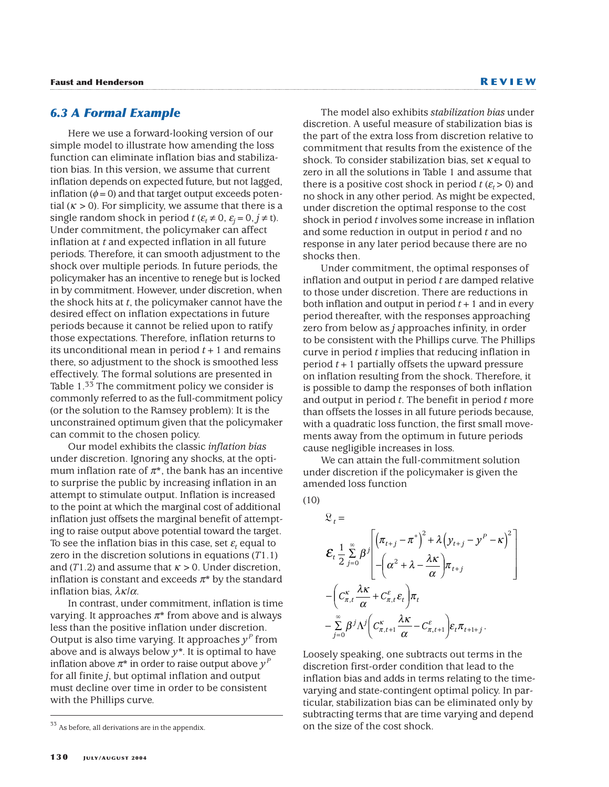#### *6.3 A Formal Example*

Here we use a forward-looking version of our simple model to illustrate how amending the loss function can eliminate inflation bias and stabilization bias. In this version, we assume that current inflation depends on expected future, but not lagged, inflation ( $\phi$  = 0) and that target output exceeds potential  $(K > 0)$ . For simplicity, we assume that there is a single random shock in period  $t$  ( $\varepsilon_t \neq 0$ ,  $\varepsilon_j = 0, j \neq t$ ). Under commitment, the policymaker can affect inflation at *t* and expected inflation in all future periods. Therefore, it can smooth adjustment to the shock over multiple periods. In future periods, the policymaker has an incentive to renege but is locked in by commitment. However, under discretion, when the shock hits at *t*, the policymaker cannot have the desired effect on inflation expectations in future periods because it cannot be relied upon to ratify those expectations. Therefore, inflation returns to its unconditional mean in period  $t + 1$  and remains there, so adjustment to the shock is smoothed less effectively. The formal solutions are presented in Table 1.<sup>33</sup> The commitment policy we consider is commonly referred to as the full-commitment policy (or the solution to the Ramsey problem): It is the unconstrained optimum given that the policymaker can commit to the chosen policy.

Our model exhibits the classic *inflation bias* under discretion. Ignoring any shocks, at the optimum inflation rate of  $\pi^*$ , the bank has an incentive to surprise the public by increasing inflation in an attempt to stimulate output. Inflation is increased to the point at which the marginal cost of additional inflation just offsets the marginal benefit of attempting to raise output above potential toward the target. To see the inflation bias in this case, set  $\varepsilon_t$  equal to zero in the discretion solutions in equations (*T*1.1) and (*T*1.2) and assume that  $\kappa > 0$ . Under discretion, inflation is constant and exceeds  $\pi^*$  by the standard inflation bias,  $\lambda \kappa / \alpha$ .

In contrast, under commitment, inflation is time varying. It approaches  $\pi^*$  from above and is always less than the positive inflation under discretion. Output is also time varying. It approaches  $y^P$  from above and is always below *y*\*. It is optimal to have inflation above  $\pi^*$  in order to raise output above  $\gamma^P$ for all finite *j*, but optimal inflation and output must decline over time in order to be consistent with the Phillips curve.

The model also exhibits *stabilization bias* under discretion. A useful measure of stabilization bias is the part of the extra loss from discretion relative to commitment that results from the existence of the shock. To consider stabilization bias, set  $\kappa$  equal to zero in all the solutions in Table 1 and assume that there is a positive cost shock in period  $t (E_t > 0)$  and no shock in any other period. As might be expected, under discretion the optimal response to the cost shock in period *t* involves some increase in inflation and some reduction in output in period *t* and no response in any later period because there are no shocks then.

Under commitment, the optimal responses of inflation and output in period *t* are damped relative to those under discretion. There are reductions in both inflation and output in period *t*+1 and in every period thereafter, with the responses approaching zero from below as *j* approaches infinity, in order to be consistent with the Phillips curve. The Phillips curve in period *t* implies that reducing inflation in period *t*+1 partially offsets the upward pressure on inflation resulting from the shock. Therefore, it is possible to damp the responses of both inflation and output in period *t*. The benefit in period *t* more than offsets the losses in all future periods because, with a quadratic loss function, the first small movements away from the optimum in future periods cause negligible increases in loss.

We can attain the full-commitment solution under discretion if the policymaker is given the amended loss function

 $(10)$ 

$$
\mathcal{L}_{t} = \n\mathcal{E}_{t} \frac{1}{2} \sum_{j=0}^{\infty} \beta^{j} \left[ \left( \pi_{t+j} - \pi^{*} \right)^{2} + \lambda \left( y_{t+j} - y^{P} - \kappa \right)^{2} \right] \n-\left( \alpha^{2} + \lambda - \frac{\lambda \kappa}{\alpha} \right) \pi_{t+j} \n-\left( C_{\pi,t}^{\kappa} \frac{\lambda \kappa}{\alpha} + C_{\pi,t}^{\varepsilon} \varepsilon_{t} \right) \pi_{t} \n-\sum_{j=0}^{\infty} \beta^{j} \Lambda^{j} \left( C_{\pi,t+1}^{\kappa} \frac{\lambda \kappa}{\alpha} - C_{\pi,t+1}^{\varepsilon} \right) \varepsilon_{t} \pi_{t+1+j} .
$$

Loosely speaking, one subtracts out terms in the discretion first-order condition that lead to the inflation bias and adds in terms relating to the timevarying and state-contingent optimal policy. In particular, stabilization bias can be eliminated only by subtracting terms that are time varying and depend on the size of the cost shock.

 $33\,$  As before, all derivations are in the appendix.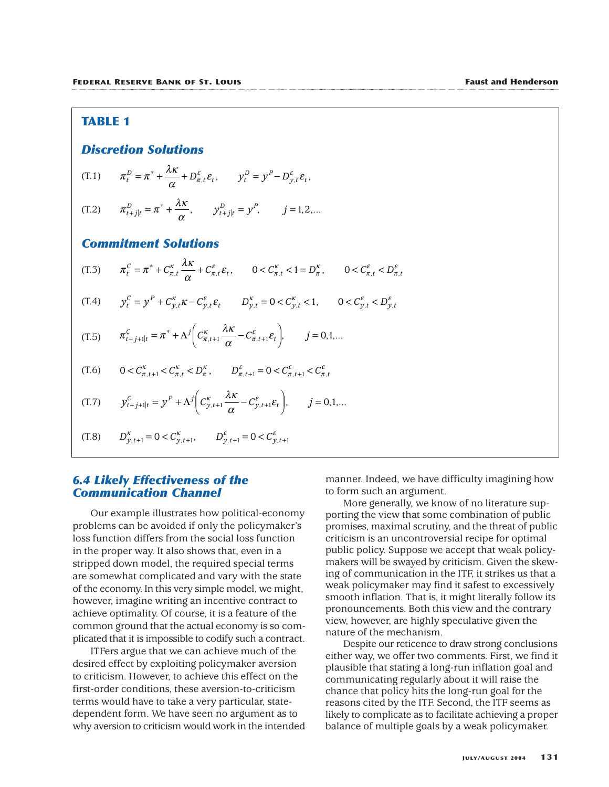#### **TABLE 1**

#### *Discretion Solutions*

$$
(T.1) \t\t \pi_t^D = \pi^* + \frac{\lambda \kappa}{\alpha} + D_{\pi,t}^{\varepsilon} \varepsilon_t, \t\t y_t^D = y^P - D_{y,t}^{\varepsilon} \varepsilon_t,
$$

(T.2) 
$$
\pi_{t+j|t}^D = \pi^* + \frac{\lambda \kappa}{\alpha}, \qquad y_{t+j|t}^D = y^P, \qquad j = 1, 2, ...
$$

#### *Commitment Solutions*

- (T.3)  $\pi_t^C = \pi^* + C_{\pi,t}^{\kappa} \frac{\lambda \kappa}{\lambda}$  $c_t^c = \pi^* + C_{\pi,t}^{\kappa} \frac{\Lambda \kappa}{\alpha} + C_{\pi,t}^{\varepsilon} \varepsilon_t, \qquad 0 < C_{\pi,t}^{\kappa} < 1 = D_{\pi}^{\kappa}, \qquad 0 < C_{\pi,t}^{\varepsilon} < D_{\pi,t}^{\varepsilon}$
- (T.4)  $y_t^C = y^P + C_{y,t}^{\kappa} \kappa C_{y,t}^{\varepsilon} \varepsilon_t \qquad D_{y,t}^{\kappa} = 0 < C_{y,t}^{\kappa} < 1, \qquad 0 < C_{y,t}^{\varepsilon} < D_{y,t}^{\varepsilon}$

$$
(T.5) \qquad \pi_{t+j+1|t}^C = \pi^* + \Lambda^j \bigg( C_{\pi,t+1}^\kappa \frac{\lambda \kappa}{\alpha} - C_{\pi,t+1}^\varepsilon \varepsilon_t \bigg), \qquad j = 0,1,...
$$

$$
(T.6) \qquad 0 < C_{\pi,t+1}^{\kappa} < C_{\pi,t}^{\kappa} < D_{\pi}^{\kappa}, \qquad D_{\pi,t+1}^{\varepsilon} = 0 < C_{\pi,t+1}^{\varepsilon} < C_{\pi,t}^{\varepsilon}
$$

(T.7) 
$$
\mathcal{Y}_{t+j+1|t}^C = \mathcal{Y}^P + \Lambda^j \bigg( C_{\mathcal{Y},t+1}^{\kappa} \frac{\lambda \kappa}{\alpha} - C_{\mathcal{Y},t+1}^{\varepsilon} \varepsilon_t \bigg), \qquad j = 0,1,...
$$

(T.8)  $D_{\gamma,t+1}^{\kappa} = 0 < C_{\gamma,t+1}^{\kappa}, \qquad D_{\gamma,t+1}^{\varepsilon} = 0 < C_{\gamma,t+1}^{\varepsilon}$ 

#### *6.4 Likely Effectiveness of the Communication Channel*

Our example illustrates how political-economy problems can be avoided if only the policymaker's loss function differs from the social loss function in the proper way. It also shows that, even in a stripped down model, the required special terms are somewhat complicated and vary with the state of the economy. In this very simple model, we might, however, imagine writing an incentive contract to achieve optimality. Of course, it is a feature of the common ground that the actual economy is so complicated that it is impossible to codify such a contract.

ITFers argue that we can achieve much of the desired effect by exploiting policymaker aversion to criticism. However, to achieve this effect on the first-order conditions, these aversion-to-criticism terms would have to take a very particular, statedependent form. We have seen no argument as to why aversion to criticism would work in the intended

manner. Indeed, we have difficulty imagining how to form such an argument.

More generally, we know of no literature supporting the view that some combination of public promises, maximal scrutiny, and the threat of public criticism is an uncontroversial recipe for optimal public policy. Suppose we accept that weak policymakers will be swayed by criticism. Given the skewing of communication in the ITF, it strikes us that a weak policymaker may find it safest to excessively smooth inflation. That is, it might literally follow its pronouncements. Both this view and the contrary view, however, are highly speculative given the nature of the mechanism.

Despite our reticence to draw strong conclusions either way, we offer two comments. First, we find it plausible that stating a long-run inflation goal and communicating regularly about it will raise the chance that policy hits the long-run goal for the reasons cited by the ITF. Second, the ITF seems as likely to complicate as to facilitate achieving a proper balance of multiple goals by a weak policymaker.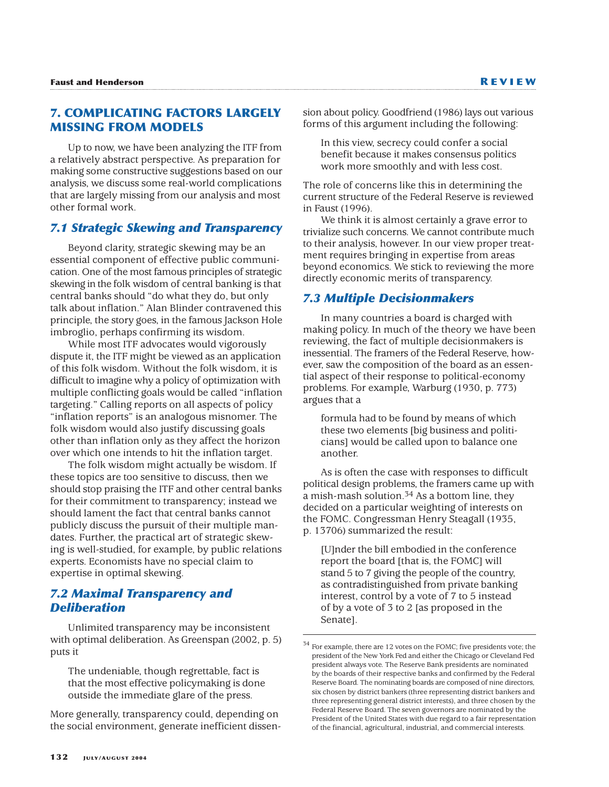## **7. COMPLICATING FACTORS LARGELY MISSING FROM MODELS**

Up to now, we have been analyzing the ITF from a relatively abstract perspective. As preparation for making some constructive suggestions based on our analysis, we discuss some real-world complications that are largely missing from our analysis and most other formal work.

#### *7.1 Strategic Skewing and Transparency*

Beyond clarity, strategic skewing may be an essential component of effective public communication. One of the most famous principles of strategic skewing in the folk wisdom of central banking is that central banks should "do what they do, but only talk about inflation." Alan Blinder contravened this principle, the story goes, in the famous Jackson Hole imbroglio, perhaps confirming its wisdom.

While most ITF advocates would vigorously dispute it, the ITF might be viewed as an application of this folk wisdom. Without the folk wisdom, it is difficult to imagine why a policy of optimization with multiple conflicting goals would be called "inflation targeting." Calling reports on all aspects of policy "inflation reports" is an analogous misnomer. The folk wisdom would also justify discussing goals other than inflation only as they affect the horizon over which one intends to hit the inflation target.

The folk wisdom might actually be wisdom. If these topics are too sensitive to discuss, then we should stop praising the ITF and other central banks for their commitment to transparency; instead we should lament the fact that central banks cannot publicly discuss the pursuit of their multiple mandates. Further, the practical art of strategic skewing is well-studied, for example, by public relations experts. Economists have no special claim to expertise in optimal skewing.

## *7.2 Maximal Transparency and Deliberation*

Unlimited transparency may be inconsistent with optimal deliberation. As Greenspan (2002, p. 5) puts it

The undeniable, though regrettable, fact is that the most effective policymaking is done outside the immediate glare of the press.

More generally, transparency could, depending on the social environment, generate inefficient dissension about policy. Goodfriend (1986) lays out various forms of this argument including the following:

In this view, secrecy could confer a social benefit because it makes consensus politics work more smoothly and with less cost.

The role of concerns like this in determining the current structure of the Federal Reserve is reviewed in Faust (1996).

We think it is almost certainly a grave error to trivialize such concerns. We cannot contribute much to their analysis, however. In our view proper treatment requires bringing in expertise from areas beyond economics. We stick to reviewing the more directly economic merits of transparency.

#### *7.3 Multiple Decisionmakers*

In many countries a board is charged with making policy. In much of the theory we have been reviewing, the fact of multiple decisionmakers is inessential. The framers of the Federal Reserve, however, saw the composition of the board as an essential aspect of their response to political-economy problems. For example, Warburg (1930, p. 773) argues that a

formula had to be found by means of which these two elements [big business and politicians] would be called upon to balance one another.

As is often the case with responses to difficult political design problems, the framers came up with a mish-mash solution.34 As a bottom line, they decided on a particular weighting of interests on the FOMC. Congressman Henry Steagall (1935, p. 13706) summarized the result:

[U]nder the bill embodied in the conference report the board [that is, the FOMC] will stand 5 to 7 giving the people of the country, as contradistinguished from private banking interest, control by a vote of 7 to 5 instead of by a vote of 3 to 2 [as proposed in the Senate].

 $34$  For example, there are 12 votes on the FOMC; five presidents vote; the president of the New York Fed and either the Chicago or Cleveland Fed president always vote. The Reserve Bank presidents are nominated by the boards of their respective banks and confirmed by the Federal Reserve Board. The nominating boards are composed of nine directors, six chosen by district bankers (three representing district bankers and three representing general district interests), and three chosen by the Federal Reserve Board. The seven governors are nominated by the President of the United States with due regard to a fair representation of the financial, agricultural, industrial, and commercial interests.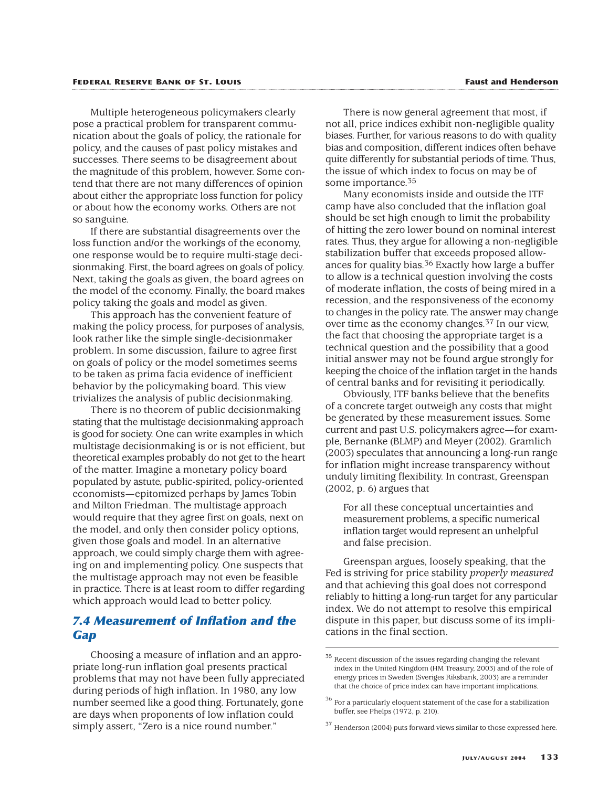#### **FEDERAL RESERVE BANK OF ST. LOUIS Faust and Henderson**

Multiple heterogeneous policymakers clearly pose a practical problem for transparent communication about the goals of policy, the rationale for policy, and the causes of past policy mistakes and successes. There seems to be disagreement about the magnitude of this problem, however. Some contend that there are not many differences of opinion about either the appropriate loss function for policy or about how the economy works. Others are not so sanguine.

If there are substantial disagreements over the loss function and/or the workings of the economy, one response would be to require multi-stage decisionmaking. First, the board agrees on goals of policy. Next, taking the goals as given, the board agrees on the model of the economy. Finally, the board makes policy taking the goals and model as given.

This approach has the convenient feature of making the policy process, for purposes of analysis, look rather like the simple single-decisionmaker problem. In some discussion, failure to agree first on goals of policy or the model sometimes seems to be taken as prima facia evidence of inefficient behavior by the policymaking board. This view trivializes the analysis of public decisionmaking.

There is no theorem of public decisionmaking stating that the multistage decisionmaking approach is good for society. One can write examples in which multistage decisionmaking is or is not efficient, but theoretical examples probably do not get to the heart of the matter. Imagine a monetary policy board populated by astute, public-spirited, policy-oriented economists—epitomized perhaps by James Tobin and Milton Friedman. The multistage approach would require that they agree first on goals, next on the model, and only then consider policy options, given those goals and model. In an alternative approach, we could simply charge them with agreeing on and implementing policy. One suspects that the multistage approach may not even be feasible in practice. There is at least room to differ regarding which approach would lead to better policy.

## *7.4 Measurement of Inflation and the Gap*

Choosing a measure of inflation and an appropriate long-run inflation goal presents practical problems that may not have been fully appreciated during periods of high inflation. In 1980, any low number seemed like a good thing. Fortunately, gone are days when proponents of low inflation could simply assert, "Zero is a nice round number."

There is now general agreement that most, if not all, price indices exhibit non-negligible quality biases. Further, for various reasons to do with quality bias and composition, different indices often behave quite differently for substantial periods of time. Thus, the issue of which index to focus on may be of some importance.35

Many economists inside and outside the ITF camp have also concluded that the inflation goal should be set high enough to limit the probability of hitting the zero lower bound on nominal interest rates. Thus, they argue for allowing a non-negligible stabilization buffer that exceeds proposed allowances for quality bias.<sup>36</sup> Exactly how large a buffer to allow is a technical question involving the costs of moderate inflation, the costs of being mired in a recession, and the responsiveness of the economy to changes in the policy rate. The answer may change over time as the economy changes.37 In our view, the fact that choosing the appropriate target is a technical question and the possibility that a good initial answer may not be found argue strongly for keeping the choice of the inflation target in the hands of central banks and for revisiting it periodically.

Obviously, ITF banks believe that the benefits of a concrete target outweigh any costs that might be generated by these measurement issues. Some current and past U.S. policymakers agree—for example, Bernanke (BLMP) and Meyer (2002). Gramlich (2003) speculates that announcing a long-run range for inflation might increase transparency without unduly limiting flexibility. In contrast, Greenspan (2002, p. 6) argues that

For all these conceptual uncertainties and measurement problems, a specific numerical inflation target would represent an unhelpful and false precision.

Greenspan argues, loosely speaking, that the Fed is striving for price stability *properly measured* and that achieving this goal does not correspond reliably to hitting a long-run target for any particular index. We do not attempt to resolve this empirical dispute in this paper, but discuss some of its implications in the final section.

 $35$  Recent discussion of the issues regarding changing the relevant index in the United Kingdom (HM Treasury, 2003) and of the role of energy prices in Sweden (Sveriges Riksbank, 2003) are a reminder that the choice of price index can have important implications.

 $^{36}$  For a particularly eloquent statement of the case for a stabilization buffer, see Phelps (1972, p. 210).

<sup>37</sup> Henderson (2004) puts forward views similar to those expressed here.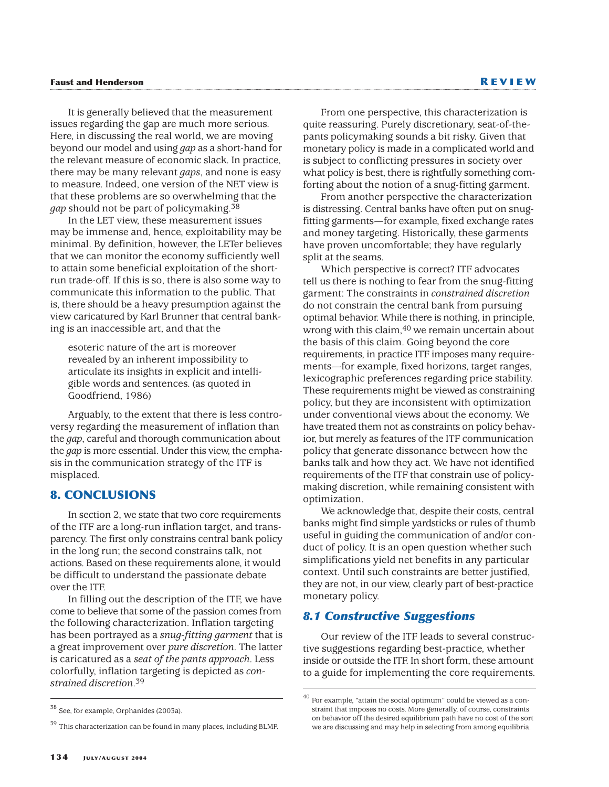It is generally believed that the measurement issues regarding the gap are much more serious. Here, in discussing the real world, we are moving beyond our model and using *gap* as a short-hand for the relevant measure of economic slack. In practice, there may be many relevant *gaps*, and none is easy to measure. Indeed, one version of the NET view is that these problems are so overwhelming that the *gap* should not be part of policymaking.38

In the LET view, these measurement issues may be immense and, hence, exploitability may be minimal. By definition, however, the LETer believes that we can monitor the economy sufficiently well to attain some beneficial exploitation of the shortrun trade-off. If this is so, there is also some way to communicate this information to the public. That is, there should be a heavy presumption against the view caricatured by Karl Brunner that central banking is an inaccessible art, and that the

esoteric nature of the art is moreover revealed by an inherent impossibility to articulate its insights in explicit and intelligible words and sentences. (as quoted in Goodfriend, 1986)

Arguably, to the extent that there is less controversy regarding the measurement of inflation than the *gap*, careful and thorough communication about the *gap* is more essential. Under this view, the emphasis in the communication strategy of the ITF is misplaced.

#### **8. CONCLUSIONS**

In section 2, we state that two core requirements of the ITF are a long-run inflation target, and transparency. The first only constrains central bank policy in the long run; the second constrains talk, not actions. Based on these requirements alone, it would be difficult to understand the passionate debate over the ITF.

In filling out the description of the ITF, we have come to believe that some of the passion comes from the following characterization. Inflation targeting has been portrayed as a *snug-fitting garment* that is a great improvement over *pure discretion*. The latter is caricatured as a *seat of the pants approach*. Less colorfully, inflation targeting is depicted as *constrained discretion*.39

<sup>39</sup> This characterization can be found in many places, including BLMP.

From another perspective the characterization is distressing. Central banks have often put on snugfitting garments—for example, fixed exchange rates and money targeting. Historically, these garments have proven uncomfortable; they have regularly split at the seams.

Which perspective is correct? ITF advocates tell us there is nothing to fear from the snug-fitting garment: The constraints in *constrained discretion* do not constrain the central bank from pursuing optimal behavior. While there is nothing, in principle, wrong with this claim, <sup>40</sup> we remain uncertain about the basis of this claim. Going beyond the core requirements, in practice ITF imposes many requirements—for example, fixed horizons, target ranges, lexicographic preferences regarding price stability. These requirements might be viewed as constraining policy, but they are inconsistent with optimization under conventional views about the economy. We have treated them not as constraints on policy behavior, but merely as features of the ITF communication policy that generate dissonance between how the banks talk and how they act. We have not identified requirements of the ITF that constrain use of policymaking discretion, while remaining consistent with optimization.

We acknowledge that, despite their costs, central banks might find simple yardsticks or rules of thumb useful in guiding the communication of and/or conduct of policy. It is an open question whether such simplifications yield net benefits in any particular context. Until such constraints are better justified, they are not, in our view, clearly part of best-practice monetary policy.

#### *8.1 Constructive Suggestions*

Our review of the ITF leads to several constructive suggestions regarding best-practice, whether inside or outside the ITF. In short form, these amount to a guide for implementing the core requirements.

<sup>38</sup> See, for example, Orphanides (2003a).

From one perspective, this characterization is quite reassuring. Purely discretionary, seat-of-thepants policymaking sounds a bit risky. Given that monetary policy is made in a complicated world and is subject to conflicting pressures in society over what policy is best, there is rightfully something comforting about the notion of a snug-fitting garment.

<sup>40</sup> For example, "attain the social optimum" could be viewed as a constraint that imposes no costs. More generally, of course, constraints on behavior off the desired equilibrium path have no cost of the sort we are discussing and may help in selecting from among equilibria.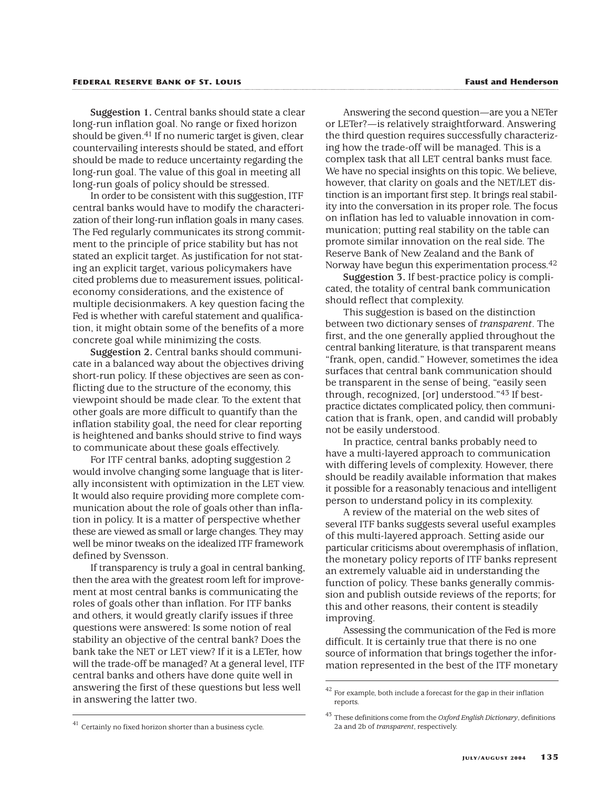#### **FEDERAL RESERVE BANK OF ST. LOUIS Faust and Henderson**

**Suggestion 1.** Central banks should state a clear long-run inflation goal. No range or fixed horizon should be given.<sup>41</sup> If no numeric target is given, clear countervailing interests should be stated, and effort should be made to reduce uncertainty regarding the long-run goal. The value of this goal in meeting all long-run goals of policy should be stressed.

In order to be consistent with this suggestion, ITF central banks would have to modify the characterization of their long-run inflation goals in many cases. The Fed regularly communicates its strong commitment to the principle of price stability but has not stated an explicit target. As justification for not stating an explicit target, various policymakers have cited problems due to measurement issues, politicaleconomy considerations, and the existence of multiple decisionmakers. A key question facing the Fed is whether with careful statement and qualification, it might obtain some of the benefits of a more concrete goal while minimizing the costs.

**Suggestion 2.** Central banks should communicate in a balanced way about the objectives driving short-run policy. If these objectives are seen as conflicting due to the structure of the economy, this viewpoint should be made clear. To the extent that other goals are more difficult to quantify than the inflation stability goal, the need for clear reporting is heightened and banks should strive to find ways to communicate about these goals effectively.

For ITF central banks, adopting suggestion 2 would involve changing some language that is literally inconsistent with optimization in the LET view. It would also require providing more complete communication about the role of goals other than inflation in policy. It is a matter of perspective whether these are viewed as small or large changes. They may well be minor tweaks on the idealized ITF framework defined by Svensson.

If transparency is truly a goal in central banking, then the area with the greatest room left for improvement at most central banks is communicating the roles of goals other than inflation. For ITF banks and others, it would greatly clarify issues if three questions were answered: Is some notion of real stability an objective of the central bank? Does the bank take the NET or LET view? If it is a LETer, how will the trade-off be managed? At a general level, ITF central banks and others have done quite well in answering the first of these questions but less well in answering the latter two.

Answering the second question—are you a NETer or LETer?—is relatively straightforward. Answering the third question requires successfully characterizing how the trade-off will be managed. This is a complex task that all LET central banks must face. We have no special insights on this topic. We believe, however, that clarity on goals and the NET/LET distinction is an important first step. It brings real stability into the conversation in its proper role. The focus on inflation has led to valuable innovation in communication; putting real stability on the table can promote similar innovation on the real side. The Reserve Bank of New Zealand and the Bank of Norway have begun this experimentation process.42

**Suggestion 3.** If best-practice policy is complicated, the totality of central bank communication should reflect that complexity.

This suggestion is based on the distinction between two dictionary senses of *transparent*. The first, and the one generally applied throughout the central banking literature, is that transparent means "frank, open, candid." However, sometimes the idea surfaces that central bank communication should be transparent in the sense of being, "easily seen through, recognized, [or] understood."43 If bestpractice dictates complicated policy, then communication that is frank, open, and candid will probably not be easily understood.

In practice, central banks probably need to have a multi-layered approach to communication with differing levels of complexity. However, there should be readily available information that makes it possible for a reasonably tenacious and intelligent person to understand policy in its complexity.

A review of the material on the web sites of several ITF banks suggests several useful examples of this multi-layered approach. Setting aside our particular criticisms about overemphasis of inflation, the monetary policy reports of ITF banks represent an extremely valuable aid in understanding the function of policy. These banks generally commission and publish outside reviews of the reports; for this and other reasons, their content is steadily improving.

Assessing the communication of the Fed is more difficult. It is certainly true that there is no one source of information that brings together the information represented in the best of the ITF monetary

 $42$  For example, both include a forecast for the gap in their inflation reports.

<sup>&</sup>lt;sup>41</sup> Certainly no fixed horizon shorter than a business cycle.

<sup>43</sup> These definitions come from the *Oxford English Dictionary*, definitions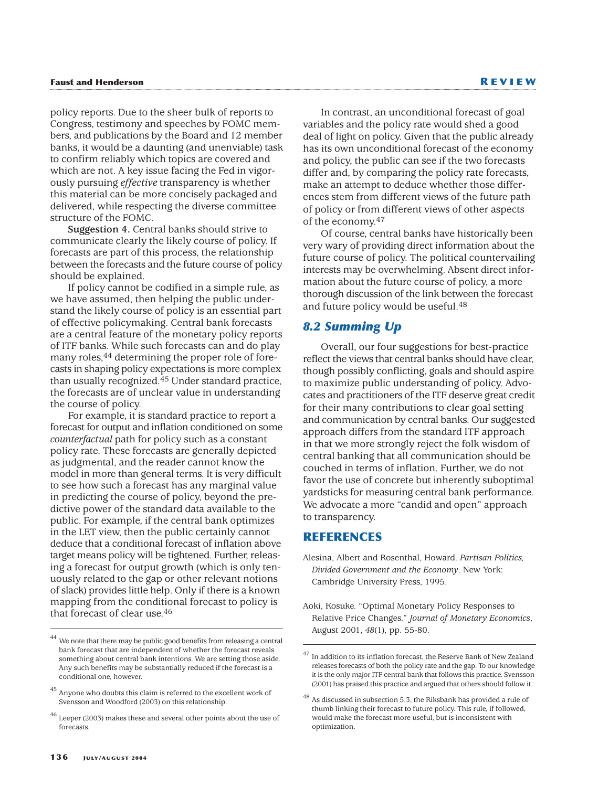policy reports. Due to the sheer bulk of reports to Congress, testimony and speeches by FOMC members, and publications by the Board and 12 member banks, it would be a daunting (and unenviable) task to confirm reliably which topics are covered and which are not. A key issue facing the Fed in vigorously pursuing *effective* transparency is whether this material can be more concisely packaged and delivered, while respecting the diverse committee structure of the FOMC.

**Suggestion 4.** Central banks should strive to communicate clearly the likely course of policy. If forecasts are part of this process, the relationship between the forecasts and the future course of policy should be explained.

If policy cannot be codified in a simple rule, as we have assumed, then helping the public understand the likely course of policy is an essential part of effective policymaking. Central bank forecasts are a central feature of the monetary policy reports of ITF banks. While such forecasts can and do play many roles,<sup>44</sup> determining the proper role of forecasts in shaping policy expectations is more complex than usually recognized.45 Under standard practice, the forecasts are of unclear value in understanding the course of policy.

For example, it is standard practice to report a forecast for output and inflation conditioned on some *counterfactual* path for policy such as a constant policy rate. These forecasts are generally depicted as judgmental, and the reader cannot know the model in more than general terms. It is very difficult to see how such a forecast has any marginal value in predicting the course of policy, beyond the predictive power of the standard data available to the public. For example, if the central bank optimizes in the LET view, then the public certainly cannot deduce that a conditional forecast of inflation above target means policy will be tightened. Further, releasing a forecast for output growth (which is only tenuously related to the gap or other relevant notions of slack) provides little help. Only if there is a known mapping from the conditional forecast to policy is that forecast of clear use.46

In contrast, an unconditional forecast of goal variables and the policy rate would shed a good deal of light on policy. Given that the public already has its own unconditional forecast of the economy and policy, the public can see if the two forecasts differ and, by comparing the policy rate forecasts, make an attempt to deduce whether those differences stem from different views of the future path of policy or from different views of other aspects of the economy.47

Of course, central banks have historically been very wary of providing direct information about the future course of policy. The political countervailing interests may be overwhelming. Absent direct information about the future course of policy, a more thorough discussion of the link between the forecast and future policy would be useful.48

## *8.2 Summing Up*

Overall, our four suggestions for best-practice reflect the views that central banks should have clear, though possibly conflicting, goals and should aspire to maximize public understanding of policy. Advocates and practitioners of the ITF deserve great credit for their many contributions to clear goal setting and communication by central banks. Our suggested approach differs from the standard ITF approach in that we more strongly reject the folk wisdom of central banking that all communication should be couched in terms of inflation. Further, we do not favor the use of concrete but inherently suboptimal yardsticks for measuring central bank performance. We advocate a more "candid and open" approach to transparency.

#### **REFERENCES**

Alesina, Albert and Rosenthal, Howard. *Partisan Politics, Divided Government and the Economy*. New York: Cambridge University Press, 1995.

 $^{44}$  We note that there may be public good benefits from releasing a central bank forecast that are independent of whether the forecast reveals something about central bank intentions. We are setting those aside. Any such benefits may be substantially reduced if the forecast is a conditional one, however.

 $^{45}$  Anyone who doubts this claim is referred to the excellent work of Svensson and Woodford (2003) on this relationship.

<sup>46</sup> Leeper (2003) makes these and several other points about the use of forecasts.

Aoki, Kosuke. "Optimal Monetary Policy Responses to Relative Price Changes." *Journal of Monetary Economics*, August 2001, *48*(1), pp. 55-80.

 $^{47}$  In addition to its inflation forecast, the Reserve Bank of New Zealand releases forecasts of both the policy rate and the gap. To our knowledge it is the only major ITF central bank that follows this practice. Svensson (2001) has praised this practice and argued that others should follow it.

<sup>48</sup> As discussed in subsection 5.3, the Riksbank has provided a rule of thumb linking their forecast to future policy. This rule, if followed, would make the forecast more useful, but is inconsistent with optimization.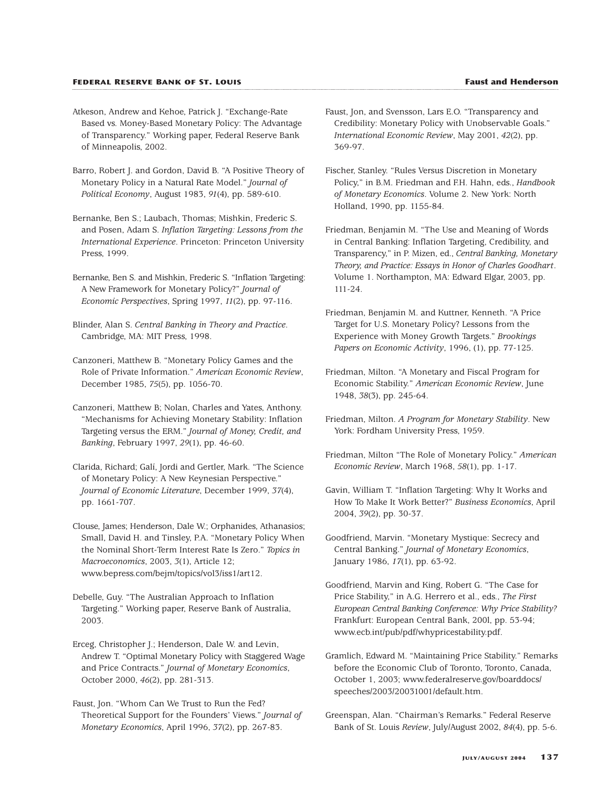- Atkeson, Andrew and Kehoe, Patrick J. "Exchange-Rate Based vs. Money-Based Monetary Policy: The Advantage of Transparency." Working paper, Federal Reserve Bank of Minneapolis, 2002.
- Barro, Robert J. and Gordon, David B. "A Positive Theory of Monetary Policy in a Natural Rate Model." *Journal of Political Economy*, August 1983, *91*(4), pp. 589-610.
- Bernanke, Ben S.; Laubach, Thomas; Mishkin, Frederic S. and Posen, Adam S. *Inflation Targeting: Lessons from the International Experience*. Princeton: Princeton University Press, 1999.
- Bernanke, Ben S. and Mishkin, Frederic S. "Inflation Targeting: A New Framework for Monetary Policy?" *Journal of Economic Perspectives*, Spring 1997, *11*(2), pp. 97-116.
- Blinder, Alan S. *Central Banking in Theory and Practice*. Cambridge, MA: MIT Press, 1998.
- Canzoneri, Matthew B. "Monetary Policy Games and the Role of Private Information." *American Economic Review*, December 1985, *75*(5), pp. 1056-70.
- Canzoneri, Matthew B; Nolan, Charles and Yates, Anthony. "Mechanisms for Achieving Monetary Stability: Inflation Targeting versus the ERM." *Journal of Money, Credit, and Banking*, February 1997, *29*(1), pp. 46-60.
- Clarida, Richard; Galí, Jordi and Gertler, Mark. "The Science of Monetary Policy: A New Keynesian Perspective." *Journal of Economic Literature*, December 1999, *37*(4), pp. 1661-707.
- Clouse, James; Henderson, Dale W.; Orphanides, Athanasios; Small, David H. and Tinsley, P.A. "Monetary Policy When the Nominal Short-Term Interest Rate Is Zero." *Topics in Macroeconomics*, 2003, *3*(1), Article 12; www.bepress.com/bejm/topics/vol3/iss1/art12.
- Debelle, Guy. "The Australian Approach to Inflation Targeting." Working paper, Reserve Bank of Australia, 2003.
- Erceg, Christopher J.; Henderson, Dale W. and Levin, Andrew T. "Optimal Monetary Policy with Staggered Wage and Price Contracts." *Journal of Monetary Economics*, October 2000, *46*(2), pp. 281-313.
- Faust, Jon. "Whom Can We Trust to Run the Fed? Theoretical Support for the Founders' Views." *Journal of Monetary Economics*, April 1996, *37*(2), pp. 267-83.
- Faust, Jon, and Svensson, Lars E.O. "Transparency and Credibility: Monetary Policy with Unobservable Goals." *International Economic Review*, May 2001, *42*(2), pp. 369-97.
- Fischer, Stanley. "Rules Versus Discretion in Monetary Policy," in B.M. Friedman and F.H. Hahn, eds., *Handbook of Monetary Economics*. Volume 2. New York: North Holland, 1990, pp. 1155-84.
- Friedman, Benjamin M. "The Use and Meaning of Words in Central Banking: Inflation Targeting, Credibility, and Transparency," in P. Mizen, ed., *Central Banking, Monetary Theory, and Practice: Essays in Honor of Charles Goodhart*. Volume 1. Northampton, MA: Edward Elgar, 2003, pp. 111-24.
- Friedman, Benjamin M. and Kuttner, Kenneth. "A Price Target for U.S. Monetary Policy? Lessons from the Experience with Money Growth Targets." *Brookings Papers on Economic Activity*, 1996, (1), pp. 77-125.
- Friedman, Milton. "A Monetary and Fiscal Program for Economic Stability." *American Economic Review*, June 1948, *38*(3), pp. 245-64.
- Friedman, Milton. *A Program for Monetary Stability*. New York: Fordham University Press, 1959.
- Friedman, Milton "The Role of Monetary Policy." *American Economic Review*, March 1968, *58*(1), pp. 1-17.
- Gavin, William T. "Inflation Targeting: Why It Works and How To Make It Work Better?" *Business Economics*, April 2004, *39*(2), pp. 30-37.
- Goodfriend, Marvin. "Monetary Mystique: Secrecy and Central Banking." *Journal of Monetary Economics*, January 1986, *17*(1), pp. 63-92.
- Goodfriend, Marvin and King, Robert G. "The Case for Price Stability," in A.G. Herrero et al., eds., *The First European Central Banking Conference: Why Price Stability?* Frankfurt: European Central Bank, 200l, pp. 53-94; www.ecb.int/pub/pdf/whypricestability.pdf.
- Gramlich, Edward M. "Maintaining Price Stability." Remarks before the Economic Club of Toronto, Toronto, Canada, October 1, 2003; www.federalreserve.gov/boarddocs/ speeches/2003/20031001/default.htm.
- Greenspan, Alan. "Chairman's Remarks." Federal Reserve Bank of St. Louis *Review*, July/August 2002, *84*(4), pp. 5-6.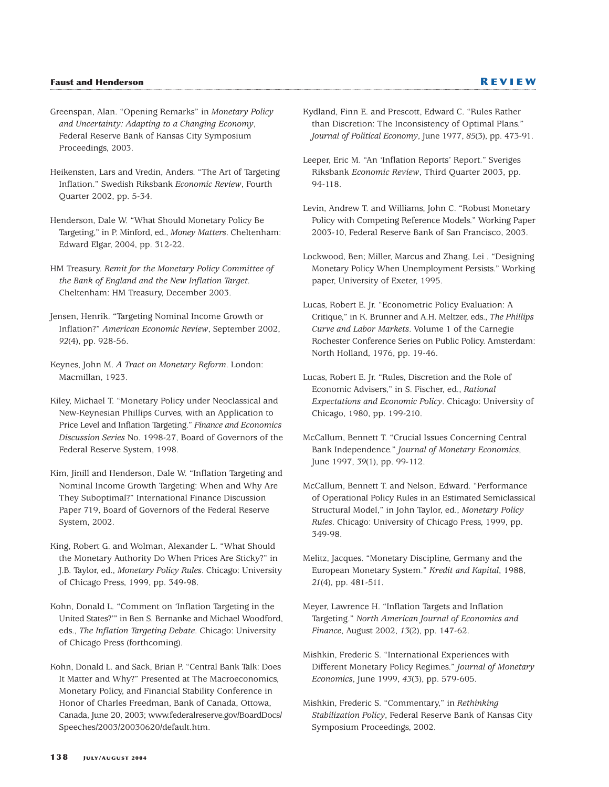- Greenspan, Alan. "Opening Remarks" in *Monetary Policy and Uncertainty: Adapting to a Changing Economy*, Federal Reserve Bank of Kansas City Symposium Proceedings, 2003.
- Heikensten, Lars and Vredin, Anders. "The Art of Targeting Inflation." Swedish Riksbank *Economic Review*, Fourth Quarter 2002, pp. 5-34.
- Henderson, Dale W. "What Should Monetary Policy Be Targeting," in P. Minford, ed., *Money Matters*. Cheltenham: Edward Elgar, 2004, pp. 312-22.
- HM Treasury. *Remit for the Monetary Policy Committee of the Bank of England and the New Inflation Target*. Cheltenham: HM Treasury, December 2003.
- Jensen, Henrik. "Targeting Nominal Income Growth or Inflation?" *American Economic Review*, September 2002, *92*(4), pp. 928-56.
- Keynes, John M. *A Tract on Monetary Reform*. London: Macmillan, 1923.
- Kiley, Michael T. "Monetary Policy under Neoclassical and New-Keynesian Phillips Curves, with an Application to Price Level and Inflation Targeting." *Finance and Economics Discussion Series* No. 1998-27, Board of Governors of the Federal Reserve System, 1998.
- Kim, Jinill and Henderson, Dale W. "Inflation Targeting and Nominal Income Growth Targeting: When and Why Are They Suboptimal?" International Finance Discussion Paper 719, Board of Governors of the Federal Reserve System, 2002.
- King, Robert G. and Wolman, Alexander L. "What Should the Monetary Authority Do When Prices Are Sticky?" in J.B. Taylor, ed., *Monetary Policy Rules*. Chicago: University of Chicago Press, 1999, pp. 349-98.
- Kohn, Donald L. "Comment on 'Inflation Targeting in the United States?'" in Ben S. Bernanke and Michael Woodford, eds., *The Inflation Targeting Debate*. Chicago: University of Chicago Press (forthcoming).
- Kohn, Donald L. and Sack, Brian P. "Central Bank Talk: Does It Matter and Why?" Presented at The Macroeconomics, Monetary Policy, and Financial Stability Conference in Honor of Charles Freedman, Bank of Canada, Ottowa, Canada, June 20, 2003; www.federalreserve.gov/BoardDocs/ Speeches/2003/20030620/default.htm.
- Kydland, Finn E. and Prescott, Edward C. "Rules Rather than Discretion: The Inconsistency of Optimal Plans." *Journal of Political Economy*, June 1977, *85*(3), pp. 473-91.
- Leeper, Eric M. "An 'Inflation Reports' Report." Sveriges Riksbank *Economic Review*, Third Quarter 2003, pp. 94-118.
- Levin, Andrew T. and Williams, John C. "Robust Monetary Policy with Competing Reference Models." Working Paper 2003-10, Federal Reserve Bank of San Francisco, 2003.
- Lockwood, Ben; Miller, Marcus and Zhang, Lei . "Designing Monetary Policy When Unemployment Persists." Working paper, University of Exeter, 1995.
- Lucas, Robert E. Jr. "Econometric Policy Evaluation: A Critique," in K. Brunner and A.H. Meltzer, eds., *The Phillips Curve and Labor Markets*. Volume 1 of the Carnegie Rochester Conference Series on Public Policy. Amsterdam: North Holland, 1976, pp. 19-46.
- Lucas, Robert E. Jr. "Rules, Discretion and the Role of Economic Advisers," in S. Fischer, ed., *Rational Expectations and Economic Policy*. Chicago: University of Chicago, 1980, pp. 199-210.
- McCallum, Bennett T. "Crucial Issues Concerning Central Bank Independence." *Journal of Monetary Economics*, June 1997, *39*(1), pp. 99-112.
- McCallum, Bennett T. and Nelson, Edward. "Performance of Operational Policy Rules in an Estimated Semiclassical Structural Model," in John Taylor, ed., *Monetary Policy Rules*. Chicago: University of Chicago Press, 1999, pp. 349-98.
- Melitz, Jacques. "Monetary Discipline, Germany and the European Monetary System." *Kredit and Kapital*, 1988, *21*(4), pp. 481-511.
- Meyer, Lawrence H. "Inflation Targets and Inflation Targeting." *North American Journal of Economics and Finance*, August 2002, *13*(2), pp. 147-62.
- Mishkin, Frederic S. "International Experiences with Different Monetary Policy Regimes." *Journal of Monetary Economics*, June 1999, *43*(3), pp. 579-605.
- Mishkin, Frederic S. "Commentary," in *Rethinking Stabilization Policy*, Federal Reserve Bank of Kansas City Symposium Proceedings, 2002.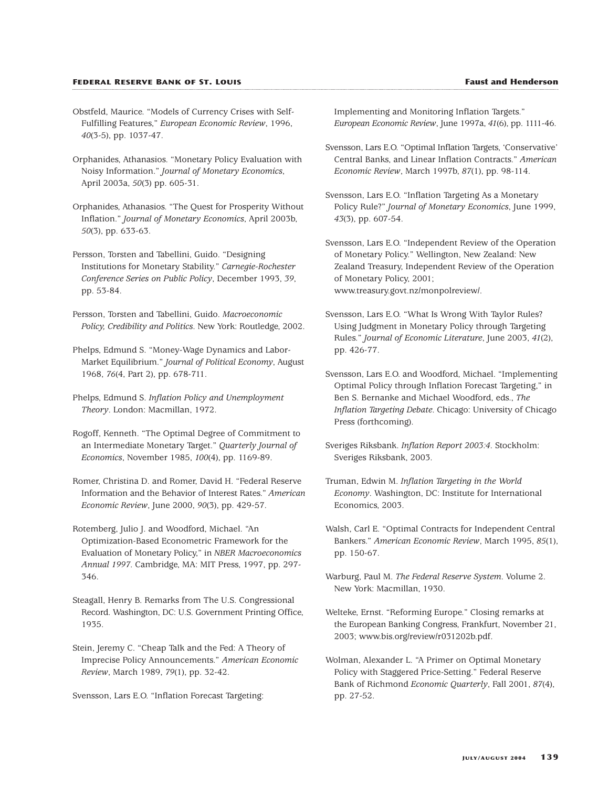#### **FEDERAL RESERVE BANK OF ST. LOUIS Faust and Henderson**

- Obstfeld, Maurice. "Models of Currency Crises with Self-Fulfilling Features," *European Economic Review*, 1996, *40*(3-5), pp. 1037-47.
- Orphanides, Athanasios. "Monetary Policy Evaluation with Noisy Information." *Journal of Monetary Economics*, April 2003a, *50*(3) pp. 605-31.
- Orphanides, Athanasios. "The Quest for Prosperity Without Inflation." *Journal of Monetary Economics*, April 2003b, *50*(3), pp. 633-63.
- Persson, Torsten and Tabellini, Guido. "Designing Institutions for Monetary Stability." *Carnegie-Rochester Conference Series on Public Policy*, December 1993, *39*, pp. 53-84.
- Persson, Torsten and Tabellini, Guido. *Macroeconomic Policy, Credibility and Politics*. New York: Routledge, 2002.
- Phelps, Edmund S. "Money-Wage Dynamics and Labor-Market Equilibrium." *Journal of Political Economy*, August 1968, *76*(4, Part 2), pp. 678-711.
- Phelps, Edmund S. *Inflation Policy and Unemployment Theory*. London: Macmillan, 1972.
- Rogoff, Kenneth. "The Optimal Degree of Commitment to an Intermediate Monetary Target." *Quarterly Journal of Economics*, November 1985, *100*(4), pp. 1169-89.
- Romer, Christina D. and Romer, David H. "Federal Reserve Information and the Behavior of Interest Rates." *American Economic Review*, June 2000, *90*(3), pp. 429-57.
- Rotemberg, Julio J. and Woodford, Michael. "An Optimization-Based Econometric Framework for the Evaluation of Monetary Policy," in *NBER Macroeconomics Annual 1997*. Cambridge, MA: MIT Press, 1997, pp. 297- 346.
- Steagall, Henry B. Remarks from The U.S. Congressional Record. Washington, DC: U.S. Government Printing Office, 1935.
- Stein, Jeremy C. "Cheap Talk and the Fed: A Theory of Imprecise Policy Announcements." *American Economic Review*, March 1989, *79*(1), pp. 32-42.
- Svensson, Lars E.O. "Inflation Forecast Targeting:

Implementing and Monitoring Inflation Targets." *European Economic Review*, June 1997a, *41*(6), pp. 1111-46.

- Svensson, Lars E.O. "Optimal Inflation Targets, 'Conservative' Central Banks, and Linear Inflation Contracts." *American Economic Review*, March 1997b, *87*(1), pp. 98-114.
- Svensson, Lars E.O. "Inflation Targeting As a Monetary Policy Rule?" *Journal of Monetary Economics*, June 1999, *43*(3), pp. 607-54.
- Svensson, Lars E.O. "Independent Review of the Operation of Monetary Policy." Wellington, New Zealand: New Zealand Treasury, Independent Review of the Operation of Monetary Policy, 2001; www.treasury.govt.nz/monpolreview/.
- Svensson, Lars E.O. "What Is Wrong With Taylor Rules? Using Judgment in Monetary Policy through Targeting Rules." *Journal of Economic Literature*, June 2003, *41*(2), pp. 426-77.
- Svensson, Lars E.O. and Woodford, Michael. "Implementing Optimal Policy through Inflation Forecast Targeting," in Ben S. Bernanke and Michael Woodford, eds., *The Inflation Targeting Debate*. Chicago: University of Chicago Press (forthcoming).
- Sveriges Riksbank. *Inflation Report 2003:4*. Stockholm: Sveriges Riksbank, 2003.
- Truman, Edwin M. *Inflation Targeting in the World Economy*. Washington, DC: Institute for International Economics, 2003.
- Walsh, Carl E. "Optimal Contracts for Independent Central Bankers." *American Economic Review*, March 1995, *85*(1), pp. 150-67.
- Warburg, Paul M. *The Federal Reserve System*. Volume 2. New York: Macmillan, 1930.
- Welteke, Ernst. "Reforming Europe." Closing remarks at the European Banking Congress, Frankfurt, November 21, 2003; www.bis.org/review/r031202b.pdf.
- Wolman, Alexander L. "A Primer on Optimal Monetary Policy with Staggered Price-Setting." Federal Reserve Bank of Richmond *Economic Quarterly*, Fall 2001, *87*(4), pp. 27-52.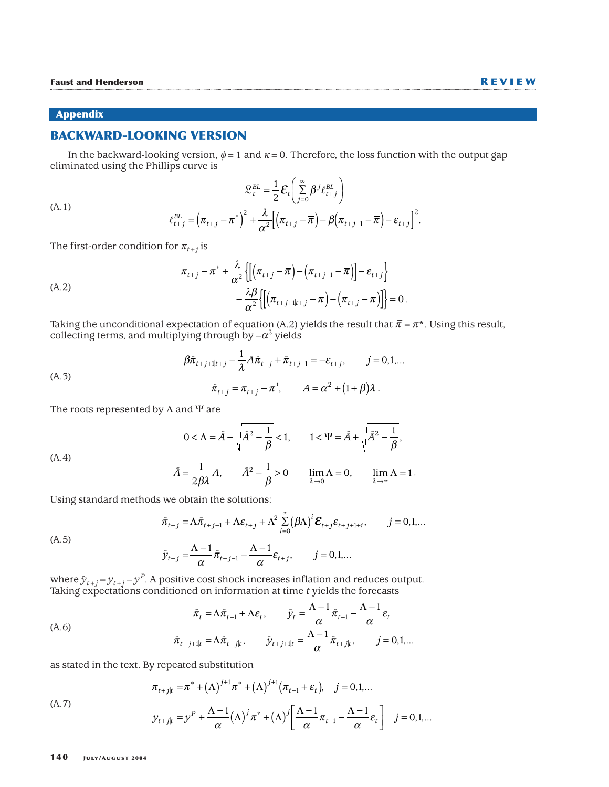#### **Appendix**

(A.1)

## **BACKWARD-LOOKING VERSION**

In the backward-looking version,  $\phi = 1$  and  $\kappa = 0$ . Therefore, the loss function with the output gap eliminated using the Phillips curve is

$$
\mathcal{L}_{t}^{BL} = \frac{1}{2} \mathbf{\mathcal{E}}_{t} \left( \sum_{j=0}^{\infty} \beta^{j} \ell_{t+j}^{BL} \right)
$$

$$
\ell_{t+j}^{BL} = \left( \pi_{t+j} - \pi^{*} \right)^{2} + \frac{\lambda}{\alpha^{2}} \left[ \left( \pi_{t+j} - \overline{\pi} \right) - \beta \left( \pi_{t+j-1} - \overline{\pi} \right) - \varepsilon_{t+j} \right]
$$

The first-order condition for  $\pi_{t+j}$  is

(A.2)  

$$
\pi_{t+j} - \pi^* + \frac{\lambda}{\alpha^2} \left\{ \left[ \left( \pi_{t+j} - \overline{\pi} \right) - \left( \pi_{t+j-1} - \overline{\pi} \right) \right] - \varepsilon_{t+j} \right\} - \frac{\lambda \beta}{\alpha^2} \left\{ \left[ \left( \pi_{t+j+1|t+j} - \overline{\pi} \right) - \left( \pi_{t+j} - \overline{\pi} \right) \right] \right\} = 0.
$$

Taking the unconditional expectation of equation (A.2) yields the result that  $\bar{\pi} = \pi^*$  . Using this result, collecting terms, and multiplying through by  $-\alpha^2$  yields

(A.3)  
\n
$$
\beta \bar{\pi}_{t+j+1|t+j} - \frac{1}{\lambda} A \bar{\pi}_{t+j} + \bar{\pi}_{t+j-1} = -\varepsilon_{t+j}, \qquad j = 0, 1, ...
$$
\n
$$
\bar{\pi}_{t+j} = \pi_{t+j} - \pi^*, \qquad A = \alpha^2 + (1+\beta)\lambda.
$$

The roots represented by  $\Lambda$  and  $\Psi$  are

(A.4)  
\n
$$
0 < \Lambda = \tilde{A} - \sqrt{\tilde{A}^2 - \frac{1}{\beta}} < 1, \qquad 1 < \Psi = \tilde{A} + \sqrt{\tilde{A}^2 - \frac{1}{\beta}},
$$
\n
$$
\tilde{A} = \frac{1}{\tilde{A}^2} \qquad \tilde{A}^2 - \frac{1}{\tilde{A}} > 0 \qquad \lim \Lambda = 0 \qquad \lim \Lambda = 1
$$

$$
\tilde{A} = \frac{1}{2\beta\lambda} A, \qquad \tilde{A}^2 - \frac{1}{\beta} > 0 \qquad \lim_{\lambda \to 0} \Lambda = 0, \qquad \lim_{\lambda \to \infty} \Lambda = 1.
$$

Using standard methods we obtain the solutions:

$$
\bar{\pi}_{t+j} = \Lambda \bar{\pi}_{t+j-1} + \Lambda \varepsilon_{t+j} + \Lambda^2 \sum_{i=0}^{\infty} (\beta \Lambda)^i \varepsilon_{t+j} \varepsilon_{t+j+1+i}, \qquad j = 0,1,...
$$

$$
(A.5)
$$

(A.7)

$$
\tilde{y}_{t+j} = \frac{\Lambda - 1}{\alpha} \tilde{\pi}_{t+j-1} - \frac{\Lambda - 1}{\alpha} \varepsilon_{t+j}, \qquad j = 0, 1, \dots
$$

where  $\tilde{y}_{t+j}$  =  $y_{t+j}$  –  $y^{P}$ . A positive cost shock increases inflation and reduces output. Taking expectations conditioned on information at time *t* yields the forecasts

$$
\tilde{\pi}_t = \Lambda \tilde{\pi}_{t-1} + \Lambda \varepsilon_t, \qquad \tilde{y}_t = \frac{\Lambda - 1}{\alpha} \tilde{\pi}_{t-1} - \frac{\Lambda - 1}{\alpha} \varepsilon_t
$$
\n
$$
\tilde{\pi}_{t+j+1|t} = \Lambda \tilde{\pi}_{t+j|t}, \qquad \tilde{y}_{t+j+1|t} = \frac{\Lambda - 1}{\alpha} \tilde{\pi}_{t+j|t}, \qquad j = 0, 1, \dots
$$

as stated in the text. By repeated substitution

$$
\pi_{t+j|t} = \pi^* + (\Lambda)^{j+1} \pi^* + (\Lambda)^{j+1} (\pi_{t-1} + \varepsilon_t), \quad j = 0, 1, ...
$$

. 2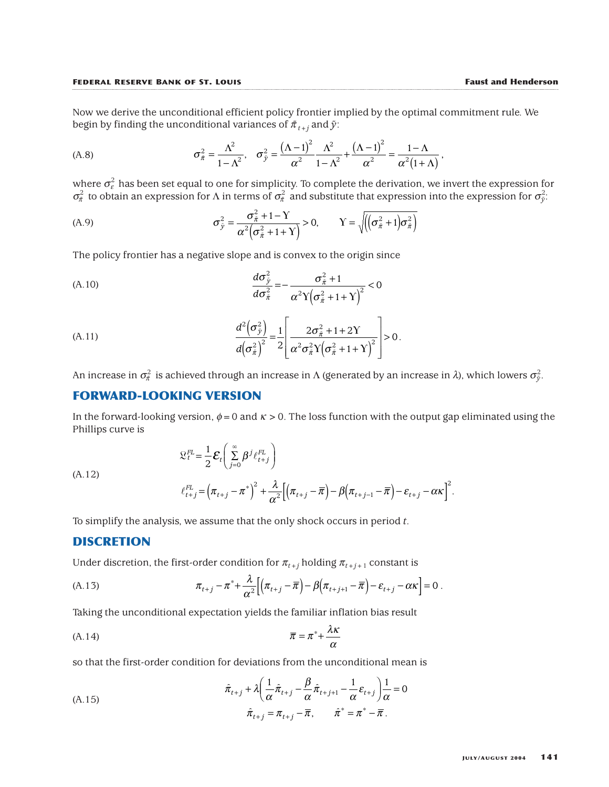Now we derive the unconditional efficient policy frontier implied by the optimal commitment rule. We begin by finding the unconditional variances of  $\bar{\pi}_{t+j}$  and  $\bar{y}$ :

(A.8) 
$$
\sigma_{\bar{\pi}}^2 = \frac{\Lambda^2}{1 - \Lambda^2}, \quad \sigma_{\bar{y}}^2 = \frac{(\Lambda - 1)^2}{\alpha^2} \frac{\Lambda^2}{1 - \Lambda^2} + \frac{(\Lambda - 1)^2}{\alpha^2} = \frac{1 - \Lambda}{\alpha^2 (1 + \Lambda)},
$$

where  $\sigma_{\varepsilon}^2$  has been set equal to one for simplicity. To complete the derivation, we invert the expression for  $\sigma_{\bar{\pi}}^2$  to obtain an expression for  $\Lambda$  in terms of  $\sigma_{\bar{\pi}}^2$  and substitute that expression into the expression for  $\sigma_{\bar{y}}^2$ :

(A.9) 
$$
\sigma_{\tilde{y}}^2 = \frac{\sigma_{\tilde{\pi}}^2 + 1 - \Upsilon}{\alpha^2 (\sigma_{\tilde{\pi}}^2 + 1 + \Upsilon)} > 0, \qquad \Upsilon = \sqrt{\left( (\sigma_{\tilde{\pi}}^2 + 1) \sigma_{\tilde{\pi}}^2 \right)}
$$

The policy frontier has a negative slope and is convex to the origin since

(A.10) 
$$
\frac{d\sigma_{\tilde{y}}^2}{d\sigma_{\tilde{\pi}}^2} = -\frac{\sigma_{\tilde{\pi}}^2 + 1}{\alpha^2 \gamma \left(\sigma_{\tilde{\pi}}^2 + 1 + \gamma\right)^2} < 0
$$

(A.11) 
$$
\frac{d^2(\sigma_{\tilde{y}}^2)}{d(\sigma_{\tilde{\pi}}^2)^2} = \frac{1}{2} \left[ \frac{2\sigma_{\tilde{\pi}}^2 + 1 + 2Y}{\alpha^2 \sigma_{\tilde{\pi}}^2 Y (\sigma_{\tilde{\pi}}^2 + 1 + Y)^2} \right] > 0.
$$

An increase in  $\sigma^2_\pi$  is achieved through an increase in Λ (generated by an increase in *λ*), which lowers  $\sigma^2_{\tilde{y}}.$ 

# **FORWARD-LOOKING VERSION**

In the forward-looking version,  $\phi = 0$  and  $\kappa > 0$ . The loss function with the output gap eliminated using the Phillips curve is

$$
\mathcal{L}_t^{FL} = \frac{1}{2} \mathcal{E}_t \left( \sum_{j=0}^{\infty} \beta^j \ell_{t+j}^{FL} \right)
$$

(A.12)

$$
\ell_{t+j}^{FL} = \left(\pi_{t+j} - \pi^*\right)^2 + \frac{\lambda}{\alpha^2} \left[\left(\pi_{t+j} - \overline{\pi}\right) - \beta\left(\pi_{t+j-1} - \overline{\pi}\right) - \varepsilon_{t+j} - \alpha\kappa\right]^2.
$$

To simplify the analysis, we assume that the only shock occurs in period *t*.

#### **DISCRETION**

Under discretion, the first-order condition for  $\pi_{t+i}$  holding  $\pi_{t+i+1}$  constant is

(A.13) 
$$
\pi_{t+j} - \pi^* + \frac{\lambda}{\alpha^2} \Big[ \Big( \pi_{t+j} - \overline{\pi} \Big) - \beta \Big( \pi_{t+j+1} - \overline{\pi} \Big) - \varepsilon_{t+j} - \alpha \kappa \Big] = 0.
$$

Taking the unconditional expectation yields the familiar inflation bias result

$$
\overline{\pi} = \pi^* + \frac{\lambda \kappa}{\alpha}
$$

so that the first-order condition for deviations from the unconditional mean is

(A.15)  

$$
\hat{\pi}_{t+j} + \lambda \left( \frac{1}{\alpha} \hat{\pi}_{t+j} - \frac{\beta}{\alpha} \hat{\pi}_{t+j+1} - \frac{1}{\alpha} \varepsilon_{t+j} \right) \frac{1}{\alpha} = 0
$$

$$
\hat{\pi}_{t+j} = \pi_{t+j} - \overline{\pi}, \qquad \hat{\pi}^* = \pi^* - \overline{\pi}.
$$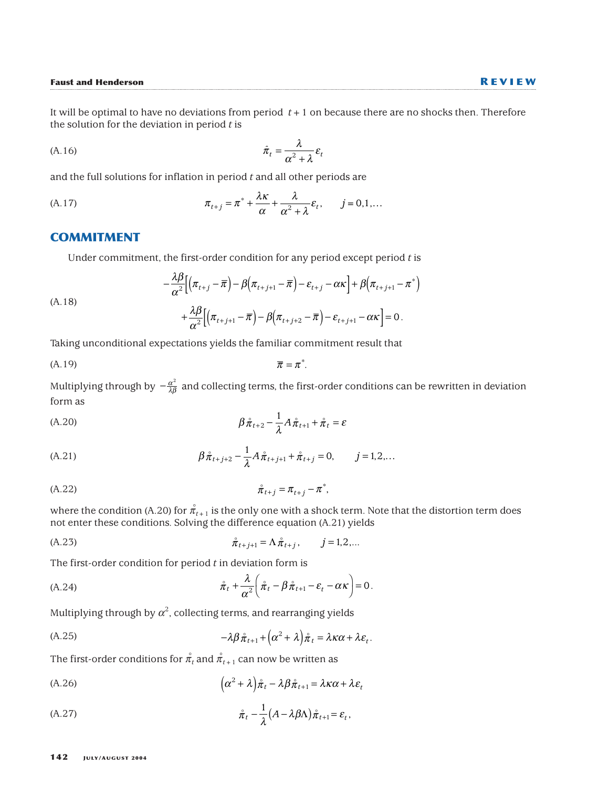It will be optimal to have no deviations from period *t*+1 on because there are no shocks then. Therefore the solution for the deviation in period *t* is

$$
\hat{\pi}_t = \frac{\lambda}{\alpha^2 + \lambda} \varepsilon_t
$$

and the full solutions for inflation in period *t* and all other periods are

(A.17) 
$$
\pi_{t+j} = \pi^* + \frac{\lambda \kappa}{\alpha} + \frac{\lambda}{\alpha^2 + \lambda} \varepsilon_t, \qquad j = 0, 1, ...
$$

#### **COMMITMENT**

Under commitment, the first-order condition for any period except period *t* is

(A.18)  
\n
$$
-\frac{\lambda \beta}{\alpha^2} \Big[ \Big( \pi_{t+j} - \overline{\pi} \Big) - \beta \Big( \pi_{t+j+1} - \overline{\pi} \Big) - \varepsilon_{t+j} - \alpha \kappa \Big] + \beta \Big( \pi_{t+j+1} - \pi^* \Big) + \frac{\lambda \beta}{\alpha^2} \Big[ \Big( \pi_{t+j+1} - \overline{\pi} \Big) - \beta \Big( \pi_{t+j+2} - \overline{\pi} \Big) - \varepsilon_{t+j+1} - \alpha \kappa \Big] = 0.
$$

Taking unconditional expectations yields the familiar commitment result that

$$
\overline{\pi} = \pi^*.
$$

Multiplying through by  $-\frac{\alpha^2}{\lambda\beta}$  and collecting terms, the first-order conditions can be rewritten in deviation form as 2

$$
\beta \stackrel{\circ}{\pi}_{t+2} - \frac{1}{\lambda} A \stackrel{\circ}{\pi}_{t+1} + \stackrel{\circ}{\pi}_t = \varepsilon
$$

(A.21) 
$$
\beta \hat{\pi}_{t+j+2} - \frac{1}{\lambda} A \hat{\pi}_{t+j+1} + \hat{\pi}_{t+j} = 0, \qquad j = 1, 2, ...
$$

(A.22) 
$$
\hat{\pi}_{t+j} = \pi_{t+j} - \pi^*,
$$

where the condition (A.20) for  $\stackrel{\circ}{\pi}_{t+1}$  is the only one with a shock term. Note that the distortion term does not enter these conditions. Solving the difference equation (A.21) yields

(A.23) 
$$
\hat{\pi}_{t+j+1} = \Lambda \hat{\pi}_{t+j}, \qquad j = 1, 2, ...
$$

The first-order condition for period *t* in deviation form is

(A.24) 
$$
\hat{\pi}_t + \frac{\lambda}{\alpha^2} \left( \hat{\pi}_t - \beta \hat{\pi}_{t+1} - \varepsilon_t - \alpha \kappa \right) = 0.
$$

Multiplying through by  $\alpha^2$ , collecting terms, and rearranging yields

(A.25) 
$$
-\lambda \beta \hat{\pi}_{t+1} + (\alpha^2 + \lambda) \hat{\pi}_t = \lambda \kappa \alpha + \lambda \varepsilon_t.
$$

The first-order conditions for  $\overset{\circ}{\pi}_t$  and  $\overset{\circ}{\pi}_{t+1}$  can now be written as

(A.26) 
$$
\left(\alpha^2 + \lambda\right)\hat{\pi}_t - \lambda\beta\hat{\pi}_{t+1} = \lambda\kappa\alpha + \lambda\varepsilon_t
$$

(A.27) 
$$
\mathring{\pi}_t - \frac{1}{\lambda} (A - \lambda \beta \Lambda) \mathring{\pi}_{t+1} = \varepsilon_t,
$$